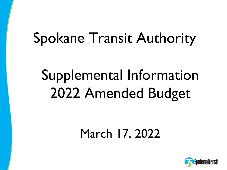# Spokane Transit Authority

# Supplemental Information 2022 Amended Budget

## March 17, 2022

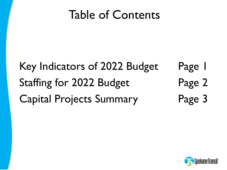## Table of Contents

### Page 1 Page 2 Key Indicators of 2022 Budget Staffing for 2022 Budget Capital Projects Summary Page 3

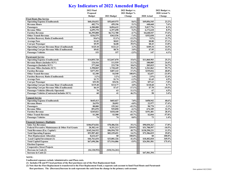#### **Key Indicators of 2022 Amended Budget**

|                                                      | 2022 Final      |                 | 2022 Budget vs. |               | 2022 Budget vs.      |
|------------------------------------------------------|-----------------|-----------------|-----------------|---------------|----------------------|
|                                                      | <b>Proposed</b> |                 | 2021 Budget %   |               | <b>2020 Actual %</b> |
|                                                      | <b>Budget</b>   | 2021 Budget     | Change          | 2020 Actual   | Change               |
| <b>Fixed Route Bus Service</b>                       |                 |                 |                 |               |                      |
| <b>Operating Expense (Unallocated)</b>               | \$60,436,032    | \$55,669,975    | 8.6%            | \$49,056,545  | 23.2%                |
| <b>Revenue Hours</b>                                 | 482,774         | 459,196         | 5.1%            | 448.660       | 7.6%                 |
| <b>Passengers</b>                                    | 6,300,000       | 8,094,632       | $-22.2%$        | 5,817,776     | 8.3%                 |
| <b>Revenue Miles</b>                                 | 6,699,378       | 6,357,698       | 5.4%            | 6,172,618     | 8.5%                 |
| <b>Farebox Revenue</b>                               | \$6,395,808     | \$6,712,788     | $-4.7%$         | \$4,648,547   | 37.6%                |
| <b>Other Transit Revenue</b>                         | \$336,579       | \$363,536       | $-7.4%$         | \$352,038     | $-4.4%$              |
| <b>Farebox Recovery Ratio (Unallocated)</b>          | 10.6%           | 12.1%           | $-12.2%$        | 9.5%          | 11.7%                |
| <b>Average Fare</b>                                  | \$1.02          | \$0.83          | 22.4%           | \$0.80        | 27.1%                |
| <b>Cost per Passenger</b>                            | \$9.59          | \$6.88          | 39.5%           | \$8.43        | 13.8%                |
| <b>Operating Cost per Revenue Hour (Unallocated)</b> | \$125.18        | \$121.23        | 3.3%            | \$109.34      | 14.5%                |
| <b>Operating Cost per Revenue Mile (Unallocated)</b> | \$9.02          | \$8.76          | 3.0%            | \$7.95        | 13.5%                |
| <b>Passenger Vehicles</b>                            | 153             | 157             | $-2.5%$         | 147           | 4.1%                 |
|                                                      |                 |                 |                 |               |                      |
| <b>Paratransit Service</b>                           |                 |                 |                 |               |                      |
| <b>Operating Expense (Unallocated)</b>               | \$14,855,728    | \$12,847,070    | 15.6%           | \$11,860,903  | 25.2%                |
| <b>Revenue Hours (includes SUV)</b>                  | 124,416         | 111,939         | 11.1%           | 100,005       | 24.4%                |
| <b>Passengers (Includes SUV)</b>                     | 277,268         | 233,738         | 18.6%           | 205,815       | 34.7%                |
| <b>Revenue Miles (Includes SUV)</b>                  | 2,398,869       | 1,720,449       | 39.4%           | 1,541,062     | 55.7%                |
| <b>Farebox Revenue</b>                               | \$477,393       | \$407,143       | 17.3%           | \$339,016     | 40.8%                |
| <b>Other Transit Revenue</b>                         | \$2,100         | \$4,540         | 100.0%          | \$2,657       | $-21.0\%$            |
| <b>Farebox Recovery Ratio (Unallocated)</b>          | 3.2%            | 3.2%            | 1.4%            | 2.9%          | 12.4%                |
| <b>Average Fare</b>                                  | \$1.72          | \$1.74          | $-1.2%$         | \$1.65        | 4.5%                 |
| <b>Cost per Passenger</b>                            | \$53.58         | \$54.96         | $-2.5%$         | \$57.63       | $-7.0%$              |
| <b>Operating Cost per Revenue Hour (Unallocated)</b> | \$119.40        | \$114.77        | 4.0%            | \$118.60      | 0.7%                 |
| <b>Operating Cost per Revenue Mile (Unallocated)</b> | \$6.19          | \$7.47          | $-17.1%$        | \$7.70        | $-19.5%$             |
| <b>Passenger Vehicles (Directly Operated)</b>        | 70              | 63              | 11.1%           | 67            | 4.5%                 |
| <b>Passenger Vehicles (Contracted includes SUV)</b>  | 60              | 41              | 46.3%           | 58            | 3.4%                 |
|                                                      |                 |                 |                 |               |                      |
| <b>Vanpool Service</b>                               |                 |                 |                 |               |                      |
| <b>Operating Expense (Unallocated)</b>               | \$645,413       | \$603,027       | 7.0%            | \$458,942     | 40.6%                |
| <b>Revenue Hours</b>                                 | 26,970          | 28,092          | $-4.0%$         | 22,977        | 17.4%                |
| Passengers                                           | 88,000          | 155,262         | $-43.3%$        | 90,770        | $-3.1\%$             |
| <b>Revenue Miles</b>                                 | 891,870         | 929,850         | $-4.1%$         | 674,189       | 32.3%                |
| <b>Farebox Revenue</b>                               | \$245,822       | \$418,440       | $-41.3%$        | \$191,481     | 28.4%                |
| <b>Other Transit Revenue</b>                         | \$1,200         | \$3,500         | $-65.7%$        | \$2,844       | $-57.8%$             |
| <b>Passenger Vehicles</b>                            | 74              | 74              | $0.0\%$         | 73            | 1.4%                 |
|                                                      |                 |                 |                 |               |                      |
| <b>Financial Summary Highlights</b>                  |                 |                 |                 |               |                      |
| <b>Sales Tax Revenues</b>                            | \$106,074,026   | \$78,486,526    | 35.1%           | \$90,030,263  | 17.8%                |
| Federal Preventive Maintenance & Other Fed Grants    | 28,382,141      | 8,351,213       | 239.9%          | \$31,708,597  | $-10.5%$             |
| <b>Total Revenues (Exc. Capital)</b>                 | \$145,244,932   | \$96,994,755    | 49.7%           | \$130,290,231 | 11.5%                |
| <b>Total Operating Expense</b>                       | \$93,987,403    | \$82,229,691    | 14.3%           | \$72,386,019  | 29.8%                |
| <b>Fleet Replacement Allocation</b>                  | 8,624,427       | \$0             | 100.0%          | \$0           | 100.0%               |
| <b>Local Capital Investment (1)</b>                  | \$46,761,654    | \$33,081,326    | 41.4%           | \$10,402,818  | 349.5%               |
| <b>Total Capital Expense</b>                         | \$67,690,286    | \$71,916,086    | $-5.9%$         | \$24,581,501  | 175.4%               |
| <b>Election Expenses</b>                             |                 |                 |                 |               |                      |
| <b>Cooperative Street Projects</b>                   |                 |                 |                 |               |                      |
| Decrease in Cash (2)                                 | ( \$4,128,552)  | ( \$18,316,261) |                 |               |                      |
| Increase in Cash (2)                                 |                 |                 |                 | \$47,501,394  |                      |

**NOTE:**

**Unallocated expenses exclude Administrative and Plaza costs.** 

**(1) Includes FR and PT local portions of the fleet purchases out of the Fleet Replacement fund.**

**(2) Note that the Fleet Replacement is transferred to the Fleet Replacement Fund, a separate cash account to fund Fixed Route and Paratransit**

fleet purchases. The (Decrease)/Increase in cash represents the cash from the change in the primary cash account.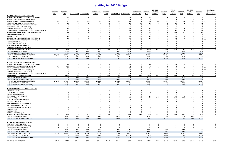|                                                                          | <b>FUNDED</b><br><u>2012</u> | <b>FUNDED</b><br>2013 | <b>FUNDED 2014 FUNDED 2015</b> |                   | <b>AUTHORIZED</b><br>1/01/16 | <b>FUNDED</b><br>1/01/16 |                         |                         | <b>AUTHORIZED</b><br>FUNDED 2017 FUNDED 2018 September 2018 | <b>FUNDED</b><br>2019   | <b>FUNDED</b><br>with 2019<br><b>Additions</b> | <b>FUNDED</b><br>2020 | <b>FUNDED</b><br>2020<br><b>Additions</b> | <b>FUNDED</b><br>2021 | <b>FUNDED</b><br>2021<br><b>Additions</b> | <b>FUNDED</b><br>2022   | <b>Net Change</b><br><b>Compared to</b><br>2021 Additions |
|--------------------------------------------------------------------------|------------------------------|-----------------------|--------------------------------|-------------------|------------------------------|--------------------------|-------------------------|-------------------------|-------------------------------------------------------------|-------------------------|------------------------------------------------|-----------------------|-------------------------------------------|-----------------------|-------------------------------------------|-------------------------|-----------------------------------------------------------|
| 01 FIXED ROUTE DIVISION - FUNCTION                                       |                              |                       |                                |                   |                              |                          |                         |                         |                                                             |                         |                                                |                       |                                           |                       |                                           |                         |                                                           |
| <b>ADMINISTRATION OF TRANSPORTATION (010)</b>                            | 21                           | 24                    | 24                             | 24                | 24                           | 24                       | 24                      | 25                      | 25                                                          | 25                      | 25                                             | 25                    | 25                                        | 27                    | 28                                        | 32                      |                                                           |
| <b>SCHEDULING OF TRANSPORTATION (021)</b>                                | $\overline{\mathbf{v}}$      | $\overline{2}$        | $\overline{2}$                 | $\overline{2}$    | $\overline{2}$               | $\overline{2}$           | $\overline{\mathbf{3}}$ | $\mathbf{3}$            | $\mathbf{3}$                                                | $\overline{\mathbf{3}}$ | $\overline{\mathbf{3}}$                        | 3                     | $\overline{\mathbf{3}}$                   | $_{3}$                |                                           |                         |                                                           |
| <b>REVENUE VEHICLE OPERATIONS (030)</b>                                  | 221                          | 221                   | 221                            | 226               | 227                          | 226                      | 238                     | 245                     | 254                                                         | 266                     | 266                                            | 277                   | 277                                       | 290                   | 290                                       | 296 FT                  |                                                           |
| <b>REVENUE VEH ICLE OPERATIONS (030)</b>                                 | 28                           | 28                    | 28                             | 28                | 28                           | 28                       | 28                      | 25                      | 25                                                          | 25                      | 25                                             | 25                    | 25                                        | 25                    | 25                                        | 22 PT                   |                                                           |
| <b>ADMINISTRATION OF MAINTENANCE (041)</b>                               |                              | 5                     |                                |                   |                              | -5                       | -5                      | -5                      |                                                             |                         |                                                |                       |                                           |                       |                                           |                         |                                                           |
| <b>FACILITIES ASST. MANAGER (042)</b>                                    |                              |                       |                                |                   |                              |                          |                         |                         |                                                             |                         |                                                |                       |                                           |                       |                                           |                         |                                                           |
| <b>SERVICE REVENUE VEHICLES (051)</b>                                    |                              | 12                    |                                |                   |                              | 12                       | 12                      | 13                      | 13                                                          | 15                      |                                                | 15                    | 15                                        | 20                    | 20                                        | 20                      |                                                           |
| <b>INSPECTION/MAINTENANCE REVENUE VEHICLES (061)</b>                     |                              | 42                    |                                | 41                |                              | 41                       | 43                      | 46                      | 46                                                          | 48                      | 48                                             | 51                    | 51                                        | 54                    | 54                                        | 56                      |                                                           |
| <b>MAINTENANCE BUILDINGS AND GROUNDS (124)</b>                           |                              | 19                    | 20                             | 20                | 20                           | 20                       | 22                      | 24                      | 24                                                          | 25                      | 25                                             | 27.0                  | 27.0                                      | 32.0                  | 32.0                                      | 33.0                    |                                                           |
| <b>FARE COLLECTION (150)</b>                                             |                              |                       |                                |                   |                              | $\overline{\phantom{a}}$ | $\mathcal{L}$           | $\overline{\mathbf{v}}$ |                                                             |                         |                                                |                       | $\overline{2}$                            |                       | $\overline{2}$                            | $\overline{2}$          |                                                           |
| <b>SECURITY</b> (161)                                                    |                              |                       |                                | 11                |                              | 12                       | 13                      | 13                      | 13                                                          | 13                      | 13                                             |                       | 13                                        | 13                    | 13                                        | 13                      |                                                           |
| TELE INFORMATION/CUSTOMER SERVICE (162)                                  |                              | 12                    | 12                             |                   |                              | 12                       | 12                      | 13                      | 13                                                          |                         |                                                |                       | 14                                        | 14                    | 14                                        | 15 FT                   |                                                           |
| TELE INFORMATION/CUSTOMER SERVICE (162)                                  |                              |                       |                                |                   |                              |                          |                         |                         |                                                             |                         |                                                |                       |                                           |                       |                                           | 0 <sub>P1</sub>         |                                                           |
| <b>LOSS CONTROL (165)</b>                                                |                              |                       |                                |                   |                              |                          |                         |                         |                                                             |                         |                                                |                       |                                           |                       |                                           |                         |                                                           |
| <b>SAFETY AND TRAINING (166)</b>                                         |                              |                       |                                |                   |                              |                          |                         |                         |                                                             |                         |                                                |                       |                                           |                       |                                           |                         |                                                           |
| <b>PURCHASING AND STORES (172)</b>                                       |                              |                       |                                |                   |                              |                          |                         |                         |                                                             |                         |                                                |                       |                                           |                       |                                           |                         |                                                           |
| <b>GENERAL ADMINISTRATION (176)</b>                                      |                              |                       |                                |                   |                              |                          |                         |                         |                                                             |                         |                                                |                       |                                           |                       |                                           |                         |                                                           |
| <b>FIXED ROUTE STAFFING TOTALS:</b>                                      | 386.0                        | 390.0                 | 391.0                          | 397.0             | 401.0                        | 399.0                    | 417.0                   | 427.0                   | 436.0                                                       | 455.0                   | 455.0                                          | 472.0                 | 472.0                                     | 500.0                 | 503.0                                     | 515.0                   | 12                                                        |
| % CHANGE YEAR TO DATE                                                    |                              | $1.0\%$               | $0.3\%$                        | 1.5%              | $1.0\%$                      |                          | $4.0\%$                 | $2.4\%$                 |                                                             | $6.6\%$                 |                                                | 3.7%                  |                                           | 5.9%                  |                                           | 3.0%                    |                                                           |
| % CHANGE FROM 2012 (STAFFING)                                            |                              | 1.0%                  | 1.3%                           | 2.8%              | 3.9%                         |                          | $8.0\%$                 | $10.6\%$                |                                                             | 17.9%                   |                                                | 22.3%                 |                                           | 29.5%                 |                                           | 33.4%                   |                                                           |
| <b>TOTAL REVENUE HOURS (BUDGETED)</b>                                    | 383,616                      | 389,272               | 396,513                        | 402,126           | 401,385                      |                          | 408,312                 | 426,689                 |                                                             | 453,013                 |                                                | 465,480               |                                           | 459,196               |                                           | 482,774                 |                                                           |
| % CHANGE YEAR TO DATE                                                    |                              | 1.5%                  | 1.9%                           | $1.4\%$           | $-0.2\%$<br>4.6%             |                          | $1.7\%$                 | $4.5\%$                 |                                                             | $6.2\%$                 |                                                | 2.8%                  |                                           | $-1.4\%$              |                                           | $5.1\%$                 |                                                           |
| % CHANGE FROM 2012 (SERVICE)                                             |                              | 1.5%                  | 3.4%                           | 4.8%              |                              |                          | 6.4%                    | $11.2\%$                |                                                             | 18.1%                   |                                                | 21.3%                 |                                           | 19.7%                 |                                           | 25.8%                   |                                                           |
| 02 PARATRANSIT DIVISION - FUNCTION                                       |                              |                       |                                |                   |                              |                          |                         |                         |                                                             |                         |                                                |                       |                                           |                       |                                           |                         |                                                           |
| <b>ADMINISTRATION OF TRANSPORTATION (010)</b>                            | 13                           | 13                    | 14                             | 14                | 14                           | 14                       | 15                      | 15                      | 15                                                          | 15                      | 15                                             | 19                    | 19                                        | 19                    | 19                                        | 19                      |                                                           |
| <b>SCHEDULING OF TRANSPORTATION (021)</b>                                | 6.75                         | 6.75                  |                                |                   |                              | 7                        |                         |                         |                                                             |                         |                                                |                       |                                           |                       |                                           | 8                       |                                                           |
| <b>REVENUE VEHICLE OPERATIONS (030)</b>                                  | 54                           | 55                    | 55                             | 55                | 55                           | 51                       | 57                      | 57                      | 57                                                          |                         |                                                |                       | -61                                       | 52                    | 52                                        | 56 FT                   |                                                           |
| <b>REVENUE VEH ICLE OPERATIONS (030)</b>                                 |                              |                       |                                |                   |                              |                          |                         |                         |                                                             |                         |                                                |                       |                                           |                       |                                           | $1$ PT                  |                                                           |
| <b>SERVICE REVENUE VEHICLES (051)</b>                                    |                              |                       |                                |                   |                              |                          |                         |                         |                                                             |                         |                                                |                       |                                           |                       |                                           | 5                       |                                                           |
| <b>INSPECTION/MAINTENANCE REVENUE VEHICLES (061)</b>                     |                              |                       |                                |                   |                              |                          |                         |                         |                                                             |                         |                                                |                       |                                           |                       |                                           | 10                      |                                                           |
| PARATRANSIT STAFFING TOTALS:                                             | 95.75                        | 93.75                 | 94.0                           | 94.0              | 94.0                         | 90.0                     | 95.0                    | 96.0                    | 96.0                                                        | 100.0                   | 100.0                                          | 104.0                 | 104.0                                     | 95.0                  | 95.0                                      | 99.0                    |                                                           |
| % CHANGE YEAR TO DATE                                                    |                              | $-2.1%$               | $0.3\%$                        | $0.0\%$           | $0.0\%$                      |                          | 1.1%                    | $1.1\%$                 |                                                             | 4.2%                    |                                                | $4.0\%$               |                                           | $-8.7%$               |                                           | 4.2%                    |                                                           |
| % CHANGE FROM 2012 (STAFFING)                                            |                              | $-2.1%$               | $-1.8%$                        | $-1.8%$           | $-1.8%$                      |                          | $-0.8%$                 | 0.3%                    |                                                             | 4.4%                    |                                                | $8.6\%$               |                                           | $-0.8%$               |                                           | 3.4%                    |                                                           |
| <b>TOTAL REVENUE HOURS (BUDGETED)</b>                                    | 170,449                      | 167,305               | 153,693                        | 153,693           | 161,888                      |                          | 157,821                 | 160,583                 |                                                             | 164,038                 |                                                | 160,084               |                                           | 107,634               |                                           | 121,188                 |                                                           |
| % CHANGE YEAR TO DATE                                                    |                              | $-1.8\%$              | $-8.1%$                        | $0.0\%$           | $5.3\%$                      |                          | $-2.5%$                 | $1.8\%$                 |                                                             | $2.2\%$                 |                                                | $-2.4%$               |                                           | $-32.8%$              |                                           | 12.6%                   |                                                           |
| % CHANGE FROM 2012 (SERVICE)                                             |                              | $-1.8%$               | $-9.8%$                        | $-9.8\%$          | $-5.0\%$                     |                          | $-7.4%$                 | $-5.8\%$                |                                                             | $-3.8%$                 |                                                | $-6.1%$               |                                           | $-36.9%$              |                                           | $-28.9%$                |                                                           |
|                                                                          |                              |                       |                                |                   |                              |                          |                         |                         |                                                             |                         |                                                |                       |                                           |                       |                                           |                         |                                                           |
| 03 ADMINISTRATIVE DIVISION - FUNCTION                                    |                              |                       |                                |                   |                              |                          |                         |                         |                                                             |                         |                                                |                       |                                           |                       |                                           |                         |                                                           |
| <b>OMBUDSMAN (162)</b>                                                   |                              |                       |                                |                   |                              |                          |                         |                         |                                                             |                         |                                                |                       |                                           |                       |                                           |                         |                                                           |
| <b>COMMUNICATIONS (163)</b>                                              |                              |                       |                                |                   |                              |                          |                         |                         |                                                             |                         |                                                |                       |                                           |                       |                                           |                         |                                                           |
| <b>HUMAN RESOURCES (167)</b>                                             |                              |                       |                                |                   |                              |                          |                         |                         |                                                             |                         |                                                |                       |                                           |                       |                                           |                         |                                                           |
| <b>INFORMATION SYSTEMS (170)</b>                                         |                              |                       |                                |                   |                              |                          |                         |                         |                                                             | 10                      | 10                                             | 10                    | 11                                        | 11                    | 11                                        | 11                      |                                                           |
| <b>FINANCE (171)</b>                                                     |                              |                       |                                |                   |                              |                          |                         | 10                      |                                                             | 10                      | 10.60                                          | 10.60                 | 10.60                                     | 10.60                 | 10.60                                     | 10.60                   |                                                           |
| <b>PURCHASING AND STORES (172)</b>                                       |                              |                       |                                |                   |                              |                          |                         | 3                       |                                                             |                         |                                                | -5                    | -5                                        | - 5                   | -5                                        |                         |                                                           |
| <b>ENGINEERING (173)</b>                                                 |                              |                       |                                |                   |                              |                          | 5                       | $\overline{5}$          | $\overline{\mathbf{5}}$                                     |                         |                                                | 8                     | -8                                        | -8                    | $\mathbf{Q}$                              |                         |                                                           |
| <b>REAL ESTATE MANAGEMENT (174)</b>                                      |                              |                       |                                |                   |                              |                          |                         |                         |                                                             |                         |                                                |                       |                                           |                       |                                           |                         |                                                           |
| <b>RECORD COORDINATOR (175)</b>                                          |                              |                       |                                |                   |                              |                          |                         |                         |                                                             |                         |                                                |                       |                                           |                       |                                           |                         |                                                           |
| <b>GENERAL ADMINISTRATION (176)</b>                                      |                              |                       |                                |                   |                              |                          |                         |                         |                                                             |                         |                                                |                       |                                           |                       |                                           |                         |                                                           |
| PLANNING (177)                                                           |                              |                       |                                |                   |                              |                          |                         |                         |                                                             |                         |                                                |                       |                                           |                       |                                           |                         |                                                           |
| PROJECT (185)                                                            |                              |                       |                                |                   |                              |                          |                         |                         |                                                             |                         |                                                |                       |                                           |                       |                                           |                         |                                                           |
| <b>DATA COLLECTION (190)</b>                                             |                              |                       |                                |                   |                              |                          |                         |                         |                                                             |                         |                                                |                       |                                           |                       |                                           |                         |                                                           |
| <b>ADMINISTRATIVE STAFFING TOTALS:</b>                                   | 38.0                         | 38.0                  | 41.0                           | 42.0              | 43.0                         | 42.0                     | 51.0                    | 53.0                    | 54.0                                                        | 58.0                    | 60.60                                          | 61.60                 | 62.60                                     | 63.60                 | 65.60                                     | 68.60                   |                                                           |
| % CHANGE YEAR TO DATE                                                    |                              | $0.0\%$               | 7.9%                           | $2.4\%$           | 2.4%                         |                          | $18.6\%$                | $3.9\%$                 |                                                             | $9.4\%$                 |                                                | $6.2\%$               |                                           | $3.2\%$               | 4.8%                                      | 7.9%                    |                                                           |
| % CHANGE FROM 2010 (STAFFING)                                            |                              | $0.0\%$               | 7.9%                           | 10.5%             | $13.2\%$                     |                          | $34.2\%$                | 39.5%                   |                                                             | 52.6%                   |                                                | 62.1%                 |                                           | 67.4%                 | 72.6%                                     | 80.5%                   |                                                           |
|                                                                          |                              |                       |                                |                   |                              |                          |                         |                         |                                                             |                         |                                                |                       |                                           |                       |                                           |                         |                                                           |
| <b>05 VANPOOL DIVISION - FUNCTION</b><br><b>INSP/MAINT REV VEH (061)</b> |                              |                       |                                |                   |                              |                          | $\mathbf{0}$            |                         |                                                             |                         |                                                |                       |                                           |                       |                                           |                         |                                                           |
|                                                                          |                              |                       |                                |                   |                              |                          |                         |                         |                                                             |                         |                                                |                       |                                           |                       |                                           |                         |                                                           |
| <b>GENERAL ADMINISTRATION (176)</b>                                      | $\overline{2}$               | $\overline{2}$        | 2                              | $\overline{2}$    |                              | $\overline{2}$           | $\overline{2}$          | $\overline{2}$          | $\overline{2}$                                              | $\overline{2}$          | $\overline{2}$                                 | $\overline{2}$        | $\overline{2}$                            | $\overline{2}$        | $\overline{2}$                            | $\mathbf{2}$            |                                                           |
| <b>VANPOOL STAFFING TOTALS:</b>                                          | $\overline{2}$               | $\overline{2}$        | $\overline{2}$                 | $\overline{2}$    | $\overline{2}$               | $\overline{2}$           | $\overline{2}$          | $\overline{2}$          | $\overline{2}$                                              | $\overline{2}$          | $\overline{2}$                                 | $\overline{2}$        | $\overline{2}$                            | $\overline{2}$        | $\overline{2}$                            | $\overline{\mathbf{2}}$ |                                                           |
| % CHANGE YEAR TO DATE                                                    |                              | $0.0\%$               | $0.0\%$                        | $0.0\%$           | $0.0\%$                      |                          | $0.0\%$                 | $0.0\%$                 |                                                             | $0.0\%$                 |                                                | $0.0\%$               |                                           | $0.0\%$               |                                           | $0.0\%$                 |                                                           |
| % CHANGE FROM 2010 (STAFFING)                                            |                              | $0.0\%$               | $0.0\%$<br>34,548              | $0.0\%$           | $0.0\%$                      |                          | $0.0\%$                 | $0.0\%$                 |                                                             | $0.0\%$                 |                                                | $0.0\%$               |                                           | $0.0\%$               |                                           | $0.0\%$                 |                                                           |
| <b>REVENUE HOURS (BUDGETED)</b><br>% CHANGE YEAR TO DATE                 | 29,679                       | 37,235<br>25.5%       | $-7.2\%$                       | 34,548<br>$0.0\%$ | 37,277<br>7.9%               |                          | 37,853<br>$1.5\%$       | 29,933<br>$-20.9%$      |                                                             | 31,081<br>$3.8\%$       |                                                | 29,079<br>$-6.4%$     |                                           | 28,092<br>$-3.4%$     |                                           | 26,970<br>$-4.0%$       |                                                           |
| % CHANGE FROM 2010 (SERVICE)                                             |                              | 25.5%                 | 16.4%                          | $16.4\%$          | 25.6%                        |                          | 27.5%                   | $0.9\%$                 |                                                             | 4.7%                    |                                                | $-2.0%$               |                                           | $-5.3\%$              |                                           | $-9.1\%$                |                                                           |
|                                                                          |                              |                       |                                |                   |                              |                          |                         |                         |                                                             |                         |                                                |                       |                                           |                       |                                           |                         |                                                           |
| <b>STAFFING GRAND TOTAL:</b>                                             | 521.75                       | 523.75                | 528.00                         | 535.00            | 540.00                       | 533.00                   | 565.00                  | 578.00                  | 588.00                                                      | 615.00                  | 617.60                                         | 639.60                | 640.60                                    | 660.60                | 665.60                                    | 684.60                  | 19.00                                                     |

### **Staffing for 2022 Budget**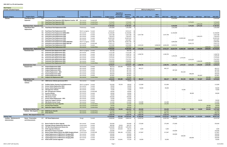| <b>New Projects</b> |  |
|---------------------|--|
|---------------------|--|

| Excludes Unfunded Projects            |                                              |             |                                                            |                       |                         |                       |                          |                       |              | 2022 by Funding Source |                |            |            |                          |            |            |            |                          |
|---------------------------------------|----------------------------------------------|-------------|------------------------------------------------------------|-----------------------|-------------------------|-----------------------|--------------------------|-----------------------|--------------|------------------------|----------------|------------|------------|--------------------------|------------|------------|------------|--------------------------|
|                                       |                                              |             |                                                            |                       |                         |                       |                          |                       |              |                        |                |            |            |                          |            |            |            |                          |
|                                       |                                              |             |                                                            |                       |                         |                       | <b>Expenditure</b>       |                       |              |                        |                |            |            |                          |            |            |            |                          |
|                                       |                                              |             |                                                            |                       |                         |                       | PTD through              | Remaining             |              |                        | $2022 -$       |            |            |                          |            |            |            |                          |
| <b>Program Category</b>               | <b>Program Name</b>                          | $ID/$ Req # | <b>Project Name</b>                                        | <b>Project Status</b> | <b>Financial Status</b> | <b>Budget Control</b> | 12/31/2020               | <b>Balance</b><br>Qtv | 2022 - Local | 2022 - State           | Federal        | 2022 Total | 2023 Total | 2024 Total               | 2025 Total | 2026 Total | 2027 Total | 2022-2027                |
| Vehicles                              | <b>Fixed Route Fleet -</b>                   | 533         |                                                            |                       |                         | 8,240,000             |                          | 8,240,000             |              |                        |                |            | 8,240,000  |                          |            |            |            | 8,240,000                |
|                                       | Expansion                                    |             | Fixed Route Fleet Expansion-2023-Signature Coaches - MF    | Not started           | Funded-MF               |                       |                          |                       |              |                        |                |            |            |                          |            |            |            |                          |
|                                       |                                              | 904         | <b>Fixed Route Fleet Expansion-2025</b>                    | Not started           | Funded-New              | 7,274,635             | $\sim$                   | 7,274,635             |              |                        |                |            |            |                          | 7,274,635  | $\sim$     |            | 7,274,635                |
|                                       |                                              | 905         | <b>Fixed Route Fleet Expansion-2026</b>                    | Not started           | Funded-New              | 1,873,220             |                          | 1,873,220             |              |                        |                |            |            |                          |            | 1,873,220  |            | 1,873,220                |
|                                       | <b>Fixed Route Fleet - Expansion Total</b>   |             |                                                            |                       |                         | 17,387,855            | $\sim$                   | 17,387,855<br>- 22    |              |                        |                |            | 8,240,000  |                          | 7,274,635  | 1,873,220  |            | 17,387,855               |
|                                       | <b>Fixed Route Fleet</b>                     | 361         | <b>Fixed Route Fleet Replacement-2022</b>                  | Preliminary           | Funded                  | 1,422,858             | $\sim$                   | 1,422,858             |              |                        |                |            | 1,422,858  |                          |            |            |            | 1,422,858                |
|                                       | Replacement                                  |             |                                                            |                       |                         |                       |                          |                       |              |                        |                |            |            |                          |            |            |            |                          |
|                                       |                                              |             |                                                            |                       |                         |                       |                          |                       |              |                        |                |            |            |                          |            |            |            |                          |
|                                       |                                              | 483         | <b>Fixed Route Fleet Replacement-2021</b>                  | Work in progress      | Funded                  | 8,533,167             | $\sim$                   | 8,533,167             |              |                        |                |            |            |                          |            |            |            |                          |
|                                       |                                              | 486         | Fixed Route Fleet Replacement (BEB)-2023                   | Not started           | Funded                  | 12,100,000            | $\sim$                   | 12,100,000            |              |                        |                |            | 12,100,000 |                          |            |            |            | 12,100,000               |
|                                       |                                              | 490         | Fixed Route Fleet Replacement-2022                         | Not started           | Funded                  | 5,547,768             | $\overline{\phantom{a}}$ | 5,547,768             | 5,547,768    |                        |                | 5,547,768  |            |                          |            |            |            | 5,547,768                |
|                                       |                                              | 492         | <b>Fixed Route Fleet Replacement-2026</b>                  | Not started           | Funded                  | 7,492,879             | $\sim$                   | 7,492,879             |              |                        |                |            |            |                          |            | 7,492,879  |            | 7,492,879                |
|                                       |                                              | 493         | <b>Fixed Route Fleet Replacement-2024</b>                  | Not started           | Funded                  | 10,005,569            | $\sim$                   | 10,005,569            |              |                        |                |            |            | 10,005,569               |            |            |            | 10,005,569               |
|                                       |                                              | 494         | <b>Fixed Route Fleet Replacement-2025</b>                  | Not started           | Funded                  | 8,814,887             | $\sim$                   | 8,814,887             |              |                        |                |            |            |                          | 8,814,887  |            |            | 8,814,887                |
|                                       |                                              | 568         | Fixed Route Fleet Replacement (BEB)-2020/2021              | Work in progres       | Funded                  | 10,691,768            | $\overline{\phantom{a}}$ | 10,691,768            |              |                        |                | $\sim$     | 6,894,000  |                          | $\sim$     |            |            | 6,894,000                |
|                                       |                                              | 570         | Fixed Route Fleet Replacement (BEB)-2025-MF                | Not started           | Funded-MF               | 5,022,172             | $\sim$                   | 5,022,172             |              |                        |                |            |            |                          | 5,022,172  |            |            | 5,022,172                |
|                                       |                                              | 836         | <b>Fixed Route Fleet Replacement-2022</b>                  | Not started           | Funded                  | 6,415,080             | $\sim$                   | 6,415,080             | 2,165,416    |                        | 2,038,943      | 4,204,359  | 2,210,721  |                          |            |            |            | 6,415,080                |
|                                       |                                              | 877         | <b>Fixed Route Fleet Replacement-2027</b>                  | Not started           | Funded-New              | 3,858,834             |                          | 3,858,834             |              |                        |                |            |            |                          |            |            | 3,858,834  | 3,858,834                |
|                                       | <b>Fixed Route Fleet - Replacement Total</b> |             |                                                            |                       |                         | 79,904,982            | $\sim$ $-$               | 79,904,982            | 7,713,184    | $\sim$                 | 2,038,943      | 9,752,127  | 22,627,579 | 10,005,569               | 13,837,059 | 7,492,879  | 3,858,834  | 67,574,047               |
|                                       | <b>Paratransit Vans</b>                      | 412         | <b>Paratransit Fleet Replacement-2020</b>                  | Work in progress      | Funded                  | 334,750               | $\sim$                   | 334,750               |              |                        |                |            |            |                          |            |            |            |                          |
|                                       |                                              | 484         | <b>Paratransit Fleet Replacement-2021</b>                  | Not started           | Funded                  | 1,115,190             | $\overline{\phantom{a}}$ | 1,115,190             |              |                        |                |            |            |                          |            |            |            |                          |
|                                       |                                              | 485         | <b>Paratransit Fleet Replacement-2022</b>                  | Not started           | Funded                  | 1,338,793             | $\overline{\phantom{a}}$ | 1,338,793             | 1,338,793    |                        |                | 1,338,793  |            |                          |            |            |            | 1,338,793                |
|                                       |                                              | 487         | <b>Paratransit Fleet Replacement-2023</b>                  | Not started           | Funded                  | 1,236,345             | $\sim$                   | 1,236,345             |              |                        |                |            | 1,236,345  |                          |            |            |            | 1,236,345                |
|                                       |                                              | 489         | <b>Paratransit Fleet Replacement-2024</b>                  | Not started           | Funded                  | 1,273,425             | $\sim$                   | 1,273,425             |              |                        |                |            |            | 1,273,425                |            |            |            | 1,273,425                |
|                                       |                                              |             | <b>Paratransit Fleet Replacement-2025</b>                  |                       |                         |                       | $\sim$                   |                       |              |                        |                |            |            |                          | 1,311,615  | $\sim$     |            |                          |
|                                       |                                              | 491         |                                                            | Not started           | Funded                  | 1,311,615             |                          | 1,311,615             |              |                        |                |            |            |                          |            |            |            | 1,311,615                |
|                                       |                                              | 837         | <b>Paratransit Fleet Replacement-2026</b>                  | Not started           | Funded                  | 1,568,089             | $\sim$                   | 1,568,089             |              | $\sim$                 |                |            |            |                          |            | 1,568,089  |            | 1,568,089                |
|                                       |                                              |             | 878 Paratransit Fleet Replacement-2027                     | Not started           | Funded-New              | 1,500,000             | $\sim$                   | 1,500,000             |              |                        |                |            |            |                          |            |            | 1,500,000  | 1,500,000                |
|                                       | <b>Paratransit Vans Total</b>                |             |                                                            |                       |                         | 9,678,207             | $\sim$                   | 9,678,207 106         | 1,338,793    |                        |                | 1,338,793  | 1,236,345  | 1,273,425                | 1,311,615  | 1,568,089  | 1,500,000  | 8,228,267                |
|                                       | <b>Vanpool Vans</b>                          | 592         | Vanpool Replacement 2020                                   | Not started           | Funded                  | 362,523               | 203,490                  | 159,033               |              |                        |                |            |            |                          |            |            |            |                          |
|                                       |                                              | 594         | <b>Vanpool Replacement 2022</b>                            | Not started           | Funded                  | 482,227               | $\overline{\phantom{a}}$ | 482,227               | 482,227      |                        |                | 482,227    |            |                          |            |            |            | 482,227                  |
|                                       |                                              | 595         | Vanpool Replacement 2023                                   | Not started           | Funded                  | 487,049               | $\sim$                   | 487,049               |              |                        |                | $\sim$     | 487,049    |                          |            |            |            | 487,049                  |
|                                       |                                              | 761         | VanPool Replacement - 2024                                 | Not started           | Funded                  | 491,920               | $\sim$                   | 491,920               |              |                        |                |            |            | 491,920                  |            |            |            | 491,920                  |
|                                       |                                              | 826         | <b>Vanpool Replacement 2025</b>                            | Not started           | Funded                  | 496,839               | $\overline{\phantom{a}}$ | 496,839               |              |                        |                |            |            |                          | 496,839    |            |            | 496,839                  |
|                                       |                                              | 827         | <b>Vanpool Replacement 2026</b>                            | Not started           | Funded                  | 501,807               | $\sim$                   | 501,807               |              |                        |                | $\sim$     |            | $\sim$                   |            | 501,807    |            | 501,807                  |
|                                       |                                              |             | 881 Vanpool Van Replacement-2027                           | Not started           | Funded-New              | 620,000               | $\sim$                   | 620,000               |              |                        |                |            |            | $\sim$                   | $\sim$     | $\sim$     | 620,000    | 620,000                  |
|                                       | <b>Vanpool Vans Total</b>                    |             |                                                            |                       |                         | 3,442,365             | 203,490                  | 3,238,875             | 482,227      |                        | $\blacksquare$ | 482,227    | 487,049    | 491,920                  | 496,839    | 501,807    | 620,000    | 3,079,842                |
|                                       | Non-Revenue                                  | 349         | 2020 Service Vehicles (previously 2017)                    | Not started           | Funded                  | 76,500                | $\sim$                   | 76,500                |              |                        |                |            |            |                          |            |            |            |                          |
|                                       | Vehicles                                     |             |                                                            |                       |                         |                       |                          |                       |              |                        |                |            |            |                          |            |            |            |                          |
|                                       |                                              | 509         | <b>Facilities Shelter Cleaning Truck Replacements</b>      |                       | Funded                  | 192,000               | 93,550                   | 98,450                | 112,000      |                        |                | 112,000    |            |                          |            |            |            | 112,000                  |
|                                       |                                              |             |                                                            | Work in progress      |                         |                       |                          |                       |              |                        |                |            |            |                          |            |            |            |                          |
|                                       |                                              | 536         | Service Vehicle Replacement 2021                           | Not started           | Funded                  | 90,000                | $\sim$                   | 90,000                |              |                        | $\sim$         | $\sim$     |            |                          |            |            |            |                          |
|                                       |                                              | 559         | Service Vehicle Replacement 2022                           | Not started           | Funded                  | 90,000                | $\sim$                   | 90,000                | 90,000       |                        |                | 90,000     |            |                          |            |            |            | 90,000                   |
|                                       |                                              | 760         | <b>F/R Supervisor Vehicles</b>                             | Not started           | Funded                  | 75,000                | $\sim$                   | 75,000                |              |                        |                |            |            | 75,000                   |            |            |            | 75,000                   |
|                                       |                                              |             | 775 MF: F/R Supervisor Vehicles                            | Not started           | Funded-MF               | 80,000                |                          | 80,000                |              |                        |                |            |            |                          |            |            |            |                          |
|                                       |                                              | 776         | <b>Security Vehicles</b>                                   | Not started           | Funded                  | 80,000                |                          | 80,000                |              |                        |                |            |            |                          | 80,000     |            |            | 80,000                   |
|                                       |                                              |             | 778 F/R Service Vehicles                                   | Not started           | Funded                  | 90,000                | $\sim$                   | 90,000                |              |                        |                |            |            |                          |            |            |            | $\sim$                   |
|                                       |                                              | 816         | <b>F&amp;G Service Trucks</b>                              | Not started           | Funded                  | 240,000               | $\sim$                   | 240,000               |              |                        |                |            |            |                          |            |            |            | $\overline{\phantom{a}}$ |
|                                       |                                              | 817         | Service Vehicle Replacement - 2021                         | Not started           | Funded                  | 45,000                | $\sim$                   | 45,000                |              |                        |                |            |            |                          |            |            |            |                          |
|                                       |                                              | 818         | <b>Supervisor Support Vehicles</b>                         | Not started           | Funded                  | 90,000                | $\sim$                   | 90,000                |              |                        |                |            |            |                          |            | 90,000     |            | 90,000                   |
|                                       |                                              | 838         | <b>F&amp;G Shelter Service Trucks</b>                      | Not started           | Funded                  | 115,000               | $\sim$                   | 115,000               | 115,000      |                        |                | 115,000    |            |                          |            |            |            | 115,000                  |
|                                       |                                              |             | 874 Fixed Route Tow Truck Upgrades                         | Not started           | Funded-New              | 125,000               | $\sim$                   | 125,000               | 125,000      |                        | $\sim$         | 125,000    |            |                          |            |            |            | 125,000                  |
|                                       |                                              | 879         | <b>Security Patrol Vehicles</b>                            | Not started           | Funded-New              | 90,000                | $\sim$                   | 90,000                |              |                        |                | $\sim$     |            |                          |            |            | 90,000     | 90,000                   |
|                                       |                                              |             | 880 Supervisor Support Vehicles                            | Not started           | Funded-New              | 300,000               | $\sim$                   | 300,000               |              |                        |                |            |            |                          |            |            | 300,000    | 300,000                  |
|                                       | <b>Non-Revenue Vehicles Total</b>            |             |                                                            |                       |                         | 1,778,500             | 93,550                   | 1,684,950             | 442,000      |                        | $\sim$         | 442,000    | $\sim$     | 75,000                   | 80,000     | 90,000     | 390,000    | 1,077,000                |
|                                       |                                              |             | 909 MG90 Router Retrofit                                   |                       |                         |                       |                          |                       |              |                        |                |            |            |                          |            |            |            |                          |
|                                       | Vehicles - Misc Equip &                      |             | 910 Driver Barriers                                        | Not started           | Funded-New              | 315,000               | $\sim$                   | 315,000               | 315,000      |                        | $\sim$         | 315,000    |            | $\sim$                   |            |            |            | 315,000                  |
|                                       |                                              |             |                                                            | Not started           | Funded-New              | 995,776               | $\sim$                   | 995,776               | 995,776      |                        | $\sim$         | 995,776    |            | $\sim$ $-$               |            |            |            | 995,776                  |
|                                       | Vehicles - Misc Equip & Fixtures Total       |             |                                                            |                       |                         | 1,310,776             | $\sim$                   | 1,310,776             | 1,310,776    | $\sim$                 | $\sim$         | 1,310,776  | $\sim$     | $\overline{\phantom{a}}$ |            |            |            | 1,310,776                |
| <b>Vehicles Total</b>                 |                                              |             |                                                            |                       |                         | 113,502,685           | 297,040                  | 113,205,645 34        | 11,286,980   | $\sim$ $-$             | 2,038,943      | 13,325,923 | 32,590,973 | 11,845,914               | 23,000,148 | 11,525,995 | 6,368,834  | 98,657,787               |
| <b>Facilities - Maintenance &amp;</b> | <b>Boone - Preservation</b>                  |             | 207 UST Diesel Replacement                                 | Design                | Funded                  | 5,008,000             | 139,666                  | 4,868,334             | 4,439,764    |                        |                | 4,439,764  | 180,000    |                          |            |            |            | 4,619,764                |
| Administration                        | and Enhancements                             |             |                                                            |                       |                         |                       |                          |                       |              |                        |                |            |            |                          |            |            |            |                          |
|                                       |                                              |             |                                                            |                       |                         |                       |                          |                       |              |                        |                |            |            |                          |            |            |            |                          |
|                                       |                                              | 324         | <b>Boone Facility Fire Alarm Upgrade</b>                   | Not started           | Funded                  | 350,000               | $\sim$                   | 350,000               | 175,000      |                        |                | 175,000    | 175,000    |                          |            |            |            | 350,000                  |
|                                       |                                              | 458         | Passenger Elevator Replacement Boone Ave                   | Construction          | Funded                  | 380,000               | 33,824                   | 346,176               |              |                        |                |            |            |                          |            |            |            | $\sim$                   |
|                                       |                                              | 460         | <b>UST Non-Diesel Replacement Boone Ave</b>                | Construction          | Funded                  | 2,100,000             | 108,168                  | 1,991,832             |              |                        |                | $\sim$     |            |                          |            |            |            |                          |
|                                       |                                              | 738         | <b>HVAC Upgrades NS Boone</b>                              | Closeout              | Funded                  | 523,033               | 424,920                  | 98,113                | 5,000        |                        |                | 5,000      |            |                          |            |            |            | 5,000                    |
|                                       |                                              |             | 745 West Boone Avenue Crosswalk                            | Not started           | Funded                  | 150,000               | $\sim$                   | 150,000               |              |                        |                | $\sim$     | 150,000    |                          |            |            |            | 150,000                  |
|                                       |                                              |             |                                                            |                       |                         |                       |                          |                       |              |                        |                | 217,847    |            |                          |            |            |            | 217,847                  |
|                                       |                                              | 766         | Boone Campus Battery Electric Bus (BEB) Charging Infrastru | Construction          | Funded-MF               | 5,700,000             | 980,189                  | 4,719,811             | 217,847      |                        |                |            | $\sim$ $-$ |                          |            |            |            |                          |
|                                       |                                              | 779         | <b>Capital Replacement of BEB Electric Charging-2023</b>   | Not started           | Funded                  | 100,000               | $\sim$                   | 100,000               |              |                        |                | $\sim$     | 100,000    | $\sim$                   |            |            |            | 100,000                  |
|                                       |                                              | 780         | Capital Replacement of BEB Electric Charging-2024          | Not started           | Funded                  | 100,000               | $\sim$                   | 100,000               |              |                        |                | $\sim$     |            | 100,000                  |            |            |            | 100,000                  |
|                                       |                                              | 781         | <b>Capital Replacement of BEB Electric Charging-2025</b>   | Not started           | Funded                  | 100,000               | $\sim$                   | 100,000               |              |                        |                |            |            |                          | 100,000    |            |            | 100,000                  |
|                                       |                                              |             | 803 HVAC & DDC Controls Upgrades                           | Closeout              | Funded                  | 611,000               | 513,841                  | 97,159                | 50,000       |                        |                | 50,000     |            |                          |            |            |            | 50,000                   |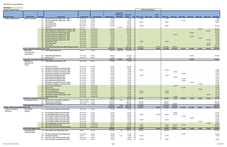|  |  | <b>Excludes Unfunded Projects</b> |
|--|--|-----------------------------------|
|--|--|-----------------------------------|

| <b>Excludes Unfunded Projects</b>               |                                                                     |            |                                                                                        |                            |                          |                       |                                                      |                       |              | 2022 by Funding Source |                                     |                          |                  |                                    |            |            |            |                          |
|-------------------------------------------------|---------------------------------------------------------------------|------------|----------------------------------------------------------------------------------------|----------------------------|--------------------------|-----------------------|------------------------------------------------------|-----------------------|--------------|------------------------|-------------------------------------|--------------------------|------------------|------------------------------------|------------|------------|------------|--------------------------|
|                                                 |                                                                     |            |                                                                                        |                            |                          |                       | Expenditure                                          |                       |              |                        |                                     |                          |                  |                                    |            |            |            |                          |
|                                                 |                                                                     |            |                                                                                        |                            |                          |                       | PTD through                                          | Remaining             |              |                        | $2022 -$                            |                          |                  |                                    |            |            |            |                          |
| <b>Program Category</b>                         | <b>Program Name</b>                                                 | ID/Req #   | <b>Project Name</b>                                                                    | <b>Project Status</b>      | <b>Financial Status</b>  | <b>Budget Control</b> | 12/31/2020                                           | Balance<br><b>Otv</b> | 2022 - Local | 2022 - State           | <b>Federal</b>                      | 2022 Total               | 2023 Total       | 2024 Total                         | 2025 Total | 2026 Total | 2027 Total | 2022-2027                |
| <b>Facilities - Maintenance &amp;</b>           | <b>Boone - Preservation</b>                                         |            | 809 Overhead Garage Door Replacement - 2022                                            | Not started                | Funded                   | 71,500                |                                                      | 71,500                | 71,500       |                        |                                     | 71,500                   |                  |                                    |            |            |            | 71,500                   |
|                                                 |                                                                     | 810        | <b>Overhead Garage Door Replacement - 2024</b>                                         | Not started                | Funded                   | 25,000                | $\sim$                                               | 25,000                |              |                        |                                     | $\sim$                   |                  | 25,000                             |            |            |            | 25,000                   |
|                                                 |                                                                     | 811        | <b>Fall Protection</b>                                                                 | Not started                | Funded                   | 113,897               | $\overline{\phantom{a}}$                             | 113,897               | 48,897       |                        |                                     | 48,897                   |                  |                                    |            |            |            | 48,897                   |
|                                                 |                                                                     | 812        | <b>Hunter Brake Lathe</b>                                                              | Not started                | Funded                   | 20,000                | $\sim$                                               | 20,000                |              |                        |                                     |                          |                  |                                    |            |            |            |                          |
|                                                 |                                                                     | 829<br>852 | Sun Room Removal<br><b>Lighted Pit</b>                                                 | Not started<br>Closeout    | Funded<br>Funded         | 750,000<br>$\sim$ $-$ | $\sim$<br>375,618                                    | 750,000<br>(375, 618) | 750,000      | $\sim$                 | . .                                 | 750,000<br>$\sim$        |                  |                                    |            |            |            | 750,000<br>$\sim$ $-$    |
|                                                 |                                                                     | 859        | <b>Capital Replacement of BEB Electrical Charging - 2026</b>                           | Not started                | Funded-New               | 100,000               | $\sim$                                               | 100,000               |              | $\sim$ $-$             |                                     |                          |                  |                                    |            | 100,000    |            | 100,000                  |
|                                                 |                                                                     | 860        | <b>Capital Replacement of BEB Electrical Charging - 2027</b>                           | Not started                | Funded-New               | 100,000               | $\overline{\phantom{a}}$                             | 100,000               |              |                        |                                     |                          |                  |                                    |            |            | 100,000    | 100,000                  |
|                                                 |                                                                     | 862        | Fleck Bus and North Van Wash Replacement                                               | Not started                | Funded-New               | 700,000               | $\sim$                                               | 700,000               |              |                        |                                     |                          |                  |                                    | 700,000    |            |            | 700,000                  |
|                                                 |                                                                     | 863        | <b>Overhead Garage Door Replacement - 2023</b>                                         | Not started                | Funded-New               | 65,000                | $\sim$                                               | 65,000                |              |                        |                                     |                          | 65,000           |                                    |            |            |            | 65,000                   |
|                                                 |                                                                     | 864        | <b>Overhead Garage Door Replacement - 2025</b>                                         | Not started                | Funded-New               | 65,000                | $\sim$                                               | 65,000                |              |                        |                                     |                          |                  |                                    | 65,000     | $\sim$     |            | 65,000                   |
|                                                 |                                                                     | 865        | <b>Overhead Garage Door Replacement - 2026</b>                                         | Not started                | Funded-New               | 65,000                | $\sim$                                               | 65,000                |              |                        |                                     |                          |                  |                                    |            | 65,000     | $\sim$     | 65,000                   |
|                                                 |                                                                     | 866        | <b>Overhead Garage Door Replacement - 2027</b>                                         | Not started                | Funded-New               | 65,000                | $\sim$                                               | 65,000                |              |                        |                                     |                          |                  |                                    |            | $\sim$     | 65,000     | 65,000                   |
|                                                 |                                                                     | 869<br>870 | <b>Fall Protection - 2022</b><br><b>HVAC Units-Boone</b>                               | Not started<br>Not started | Funded-New<br>Funded-New | 55,000<br>30,000      | $\sim$<br>$\overline{\phantom{a}}$                   | 55,000<br>30,000      | 55,000       |                        | $\sim$                              | 55,000<br>$\sim$         |                  |                                    |            |            | 30,000     | 55,000<br>30,000         |
|                                                 |                                                                     | 876        | <b>Steam Pit Lift</b>                                                                  | Not started                | Funded-New               | 150,500               | $\sim$                                               | 150,500               |              |                        |                                     |                          |                  |                                    |            |            | 150,500    | 150,500                  |
|                                                 |                                                                     | 908        | Boone NWG Battery Electric Bus (BEB) Charging Infrastruct Not started                  |                            | Funded-New               | 1,800,000             |                                                      | 1,800,000             | 1,000,000    |                        | 200,000                             | 1,200,000                | 600.000          |                                    |            |            |            | 1,800,000                |
|                                                 | <b>Boone - Preservation and Enhancements Total</b>                  |            |                                                                                        |                            |                          | 19,297,930            | 2,576,226                                            | 16,721,704            | 6,813,008    | $\sim$                 | 200,000                             | 7,013,008                | 1,270,000        | 125,000                            | 865,000    | 165,000    | 345,500    | 9,783,508                |
|                                                 | <b>Fleck Center -</b>                                               |            | 354 Fleck Energy Savings Project                                                       | Closeout                   | Funded                   | 986,500               | 1,662,852                                            | (676, 352)            |              |                        | $\sim$                              |                          |                  |                                    |            |            |            |                          |
|                                                 | Preservation and                                                    |            |                                                                                        |                            |                          |                       |                                                      |                       |              |                        |                                     |                          |                  |                                    |            |            |            |                          |
|                                                 | <b>Improvements</b>                                                 |            |                                                                                        |                            |                          |                       |                                                      |                       |              |                        |                                     |                          |                  |                                    |            |            |            |                          |
|                                                 |                                                                     | 787        | <b>Fleck Center Drain/Slab UST</b>                                                     | Not started                | Funded                   | 240,000               |                                                      | 240,000               |              |                        |                                     |                          |                  |                                    | 240,000    |            |            | 240,000                  |
|                                                 |                                                                     | 808        | <b>Bulk Deice Tank</b>                                                                 | Not started                | Funded                   | 12,000                |                                                      | 12,000                |              |                        |                                     |                          |                  |                                    |            |            |            |                          |
|                                                 | Fleck Center - Preservation and Improvements Total<br>Miscellaneous |            | 505 HVAC Replacement/upgrades - 2021                                                   | Not started                | Funded                   | 1,238,500<br>25,000   | 1,662,852                                            | (424, 352)<br>25,000  | $\sim$       | $\sim$                 | $\overline{\phantom{a}}$            | $\overline{\phantom{a}}$ |                  | $\sim$                             | 240,000    | $\sim$     |            | 240,000                  |
|                                                 | <b>Equipment and</b><br><b>Fixtures</b>                             |            |                                                                                        |                            |                          |                       |                                                      |                       |              |                        |                                     |                          |                  |                                    |            |            |            |                          |
|                                                 |                                                                     | 511        | <b>Cabinet Parts Washer</b>                                                            | Not started                | Funded                   | 110,000               | $\overline{\phantom{a}}$                             | 110,000               |              |                        |                                     |                          |                  |                                    |            |            |            |                          |
|                                                 |                                                                     | 512        | <b>Miscellaneous Equipment and Fixtures-2021</b>                                       | Not started                | Funded                   | 30,000                | $\sim$                                               | 30,000                |              |                        |                                     |                          |                  |                                    |            |            |            | $\overline{\phantom{a}}$ |
|                                                 |                                                                     | 556        | <b>Miscellaneous Equipment and Fixtures-2022</b>                                       | Not started                | Funded                   | 38,500                | $\sim$                                               | 38,500                | 38,500       |                        |                                     | 38,500                   |                  |                                    |            |            |            | 38,500                   |
|                                                 |                                                                     | 585        | <b>Miscellaneous Equipment and Fixtures-2023</b>                                       | Not started                | Funded                   | 20,000                | $\sim$                                               | 20,000                |              |                        |                                     | $\sim$                   | 20,000           |                                    |            |            |            | 20,000                   |
|                                                 |                                                                     | 733        | <b>Miscellaneous Equipment and Fixtures 2024</b>                                       | Not started                | Funded                   | 40,000                | $\overline{\phantom{a}}$                             | 40,000                |              |                        |                                     | $\sim$                   |                  | 40,000                             |            |            |            | 40,000                   |
|                                                 |                                                                     | 736        | <b>HVAC Replacement/upgrades-2022</b>                                                  | Not started                | Funded                   | 27,500                | $\sim$                                               | 27,500                | 27,500       |                        | $\overline{\phantom{a}}$            | 27,500                   |                  | $\overline{\phantom{a}}$           |            |            |            | 27,500                   |
|                                                 |                                                                     | 737        | <b>HVAC Replacement/upgrades-2023</b>                                                  | Not started                | Funded                   | 25,000                | $\sim$                                               | 25,000                |              |                        |                                     | $\overline{\phantom{a}}$ | 25,000           | $\sim$                             |            |            |            | 25,000                   |
|                                                 |                                                                     | 762        | <b>HVAC Replacement/upgrades-2024</b>                                                  | Not started                | Funded                   | 25,000                | $\sim$                                               | 25,000                |              |                        |                                     | $\sim$                   |                  | 25,000                             |            |            |            | 25,000                   |
|                                                 |                                                                     | 782<br>784 | HVAC Replacement/upgrades-2025<br><b>Miscellaneous Equipment and Fixtures-2025</b>     | Not started<br>Not started | Funded<br>Funded         | 40,000<br>40,000      | $\overline{\phantom{a}}$<br>$\sim$                   | 40,000<br>40,000      |              |                        |                                     |                          |                  | 40,000<br>$\sim$                   | 40,000     | $\sim$     |            | 40,000<br>40,000         |
|                                                 |                                                                     | 813        | <b>Miscellaneous Equipment and Fixtures-2026</b>                                       | Not started                | Funded                   | 35,000                | $\sim$                                               | 35,000                |              |                        |                                     |                          |                  | $\sim$                             |            | 35,000     |            | 35,000                   |
|                                                 |                                                                     | 858        | <b>Mobile Aerial Work Platform</b>                                                     | Not started                | Funded-New               | 17,000                | $\sim$                                               | 17,000                |              |                        |                                     |                          | 17,000           | $\sim$ $-$                         |            |            |            | 17,000                   |
|                                                 |                                                                     | 861        | <b>Big Fan Install</b>                                                                 | Not started                | Funded-New               | 85,000                | $\sim$                                               | 85,000                |              |                        |                                     |                          |                  | 85,000                             |            | $\sim$     |            | 85,000                   |
|                                                 |                                                                     | 867        | <b>Drill Press Replacements</b>                                                        | Not started                | Funded-New               | 30,000                | $\overline{\phantom{a}}$                             | 30,000                |              |                        |                                     |                          |                  |                                    |            | 30,000     |            | 30,000                   |
|                                                 |                                                                     | 868        | <b>Electric Cart Replacment</b>                                                        | Not started                | Funded-New               | 52,250                |                                                      | 52,250                | 52,250       |                        |                                     | 52,250                   |                  |                                    |            |            |            | 52,250                   |
|                                                 |                                                                     | 871        | <b>Latex Wrap Production Equipment</b>                                                 | Not started                | Funded-New               | 44,000                |                                                      | 44,000                | 44,000       |                        |                                     | 44,000                   |                  |                                    |            |            |            | 44,000                   |
|                                                 |                                                                     | 873        | <b>Miscellaneous Equipment and Fixtures - 2027</b><br>875 Walk-behind Scrubber         | Not started<br>Not started | Funded-New               | 40,000                | $\overline{\phantom{a}}$                             | 40,000<br>15,500      |              |                        |                                     | $\sim$                   | 15,500           |                                    |            |            | 40,000     | 40,000<br>15,500         |
|                                                 | Miscellaneous Equipment and Fixtures Total                          |            |                                                                                        |                            | Funded-New               | 15,500<br>739,750     | $\sim$                                               | 739,750               | 162,250      | $\sim$                 | $\sim$                              | 162,250                  | 77,500           | $\sim$<br>190,000                  | 40,000     | 65,000     | 40,000     | 574,750                  |
|                                                 | <b>Facility Master Plan Pro</b>                                     | 504        | <b>Mission &amp; Green Acquisition Due-Diligence</b>                                   | Work in progress Funded    |                          | 250,000               | 7,500                                                | 242,500               |              |                        | $\sim$                              | $\sim$                   | $\sim$           | $\sim$                             | $\sim$     | $\sim$     |            |                          |
|                                                 |                                                                     | 549        | <b>Mission &amp; Green Acquisition</b>                                                 | Work in progress Funded    |                          | 1,000,000             | $\sim$                                               | 1,000,000             | 800,000      |                        | . .                                 | 800,000                  | $\sim$           | $\overline{\phantom{a}}$           |            | $\sim$     |            | 800,000                  |
|                                                 |                                                                     |            | 828 Facilities Master Plan Update                                                      | Not started                | Funded                   | 600,000               | $\overline{\phantom{a}}$                             | 600,000               | 350,000      | $\sim$                 |                                     | 350,000                  | 250,000          | $\sim$                             |            | $\sim$     |            | 600,000                  |
|                                                 | <b>Facility Master Plan Program Total</b>                           |            |                                                                                        |                            |                          | 1,850,000             | 7,500                                                | 1,842,500             | 1,150,000    | $\sim$                 | $\overline{\phantom{a}}$            | 1,150,000                | 250,000          | $\sim$                             |            | $\sim$     |            | 1,400,000                |
| Facilities - Maintenance & Administration Total |                                                                     |            |                                                                                        |                            |                          | 23,126,180            | 4,246,578                                            | 18,879,602            | 8,125,258    | $\sim$ $\sim$          | 200,000                             | 8,325,258                | 1,597,500        | 315,000                            | 1,145,000  | 230,000    | 385,500    | 11,998,258               |
| <b>Facilities - Passenger &amp;</b>             | Park and Ride                                                       |            | 513 Park and Ride Lot Major Preservation-2021                                          | Not started                | Funded                   | 25,000                | $\sim$                                               | 25,000                |              | $\sim$                 |                                     |                          |                  | $\overline{\phantom{a}}$           |            |            |            |                          |
| Operational                                     | <b>Upgrades</b>                                                     |            |                                                                                        |                            |                          |                       |                                                      |                       |              |                        |                                     |                          |                  |                                    |            |            |            |                          |
|                                                 |                                                                     | 754        | 613 Park and Ride Lot Major Preservation-2023                                          | Not started                | Funded                   | 20,000                | $\overline{\phantom{a}}$                             | 20,000<br>235,000     | 14,300       |                        | $\sim$                              | $\sim$<br>165,000        | 20,000<br>55,000 | $\overline{\phantom{a}}$           |            |            |            | 20,000<br>220,000        |
|                                                 |                                                                     | 759        | Five Mile Mobility Hub Preliminary Design<br>Park and Ride Lot Major Preservation 2024 | Not started<br>Not started | Funded<br>Funded         | 235,000<br>20,000     | $\overline{\phantom{a}}$<br>$\overline{\phantom{a}}$ | 20,000                | $\sim$       |                        | 150,700<br>$\overline{\phantom{a}}$ | $\sim$                   |                  | $\overline{\phantom{a}}$<br>20,000 |            |            |            | 20,000                   |
|                                                 |                                                                     | 785        | Park and Ride Lot Major Preservation-2025                                              | Not started                | Funded                   | 40,000                | $\sim$                                               | 40,000                | $\sim$       |                        | $\overline{\phantom{a}}$            | $\sim$                   |                  | $\sim$                             | 40,000     |            |            | 40,000                   |
|                                                 |                                                                     | 814        | Park and Ride Lot Major Preservation-2022                                              | Not started                | Funded                   | 25,000                | $\overline{\phantom{a}}$                             | 25,000                | 25,000       |                        |                                     | 25,000                   |                  |                                    |            |            |            | 25,000                   |
|                                                 |                                                                     | 815        | Park and Ride Lot Major Preservation-2026                                              | Not started                | Funded                   | 25,000                | $\sim$                                               | 25,000                | $\sim$       |                        | $\overline{\phantom{a}}$            | $\sim$                   |                  | $\sim$                             |            | 25,000     |            | 25,000                   |
|                                                 |                                                                     | 872        | Park and Ride Major Lot Preservtion - 2027                                             | Not started                | Funded-New               | 30,000                | $\sim$                                               | 30,000                | $\sim$       |                        | $\sim$                              | . .                      |                  | $\sim$                             |            | $\sim$     | 30,000     | 30,000                   |
|                                                 |                                                                     | 900        | <b>South Hill P&amp;R Improvements</b>                                                 | Not started                | Funded-New               | 700,000               | $\overline{\phantom{a}}$                             | 700,000               | 75,000       |                        |                                     | 75,000                   | 575,000          | 50,000                             |            | $\sim$     |            | 700,000                  |
|                                                 |                                                                     |            | 902 West Plains Transit Center Retrofit & Layover                                      | Not started                | Funded-New               | 208,811               | $\sim$                                               | 208,811               | 50,000       |                        |                                     | 50,000                   | 158,811          | $\sim$                             |            |            |            | 208,811                  |
|                                                 | Park and Ride Upgrades Total                                        |            |                                                                                        |                            |                          | 1,328,811             | $\sim$                                               | 1,328,811             | 164,300      | $\sim$                 | 150,700                             | 315,000                  | 808,811          | 70,000                             | 40,000     | 25,000     | 30,000     | 1,288,811                |
|                                                 | <b>Plaza Preservation</b>                                           |            | 515 2019 Cooling Tower Replacement, Plaza                                              | Design                     | Funded                   | 550,000               | 823                                                  | 549,177               | 245,656      | $\sim$                 | $\overline{\phantom{a}}$            | 245,656                  |                  | $\sim$                             |            | $\sim$     |            | 245,656                  |
|                                                 | and Improvements                                                    |            |                                                                                        |                            | Funded                   |                       | $\overline{\phantom{a}}$                             | 45,000                |              |                        |                                     | $\sim$                   |                  | 45,000                             |            |            |            | 45,000                   |
|                                                 |                                                                     | 794        | 765 STA Plaza Loudspeaker System Replacement<br><b>Plaza Exterior Signage</b>          | Not started<br>On hold     | Funded                   | 45,000<br>80,000      | 5,531                                                | 74,469                | 74,469       |                        | $\overline{\phantom{a}}$<br>$\sim$  | 74,469                   |                  |                                    |            |            |            | 74,469                   |
|                                                 |                                                                     | 843        | Plaza Preservation and Improvements-2021                                               | Not started                | Funded                   | 50,000                | $\sim$                                               | 50,000                |              |                        |                                     | $\sim$                   |                  |                                    |            |            |            |                          |
|                                                 |                                                                     |            | 844 Plaza Preservation and Improvements-2022                                           | Not started                | Funded                   | 50,000                |                                                      | 50,000                | 50,000       |                        |                                     | 50,000                   |                  |                                    |            |            |            | 50,000                   |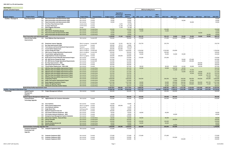|  | <b>New Projects</b> |  |
|--|---------------------|--|
|--|---------------------|--|

| <b>Excludes Unfunded Projects</b>                     |                                                  |          |                                                       |                       |                         |                       |                    |                       |              | 2022 by Funding Source |                          |                |                 |            |            |                 |            |                          |
|-------------------------------------------------------|--------------------------------------------------|----------|-------------------------------------------------------|-----------------------|-------------------------|-----------------------|--------------------|-----------------------|--------------|------------------------|--------------------------|----------------|-----------------|------------|------------|-----------------|------------|--------------------------|
|                                                       |                                                  |          |                                                       |                       |                         |                       |                    |                       |              |                        |                          |                |                 |            |            |                 |            |                          |
|                                                       |                                                  |          |                                                       |                       |                         |                       | Expenditure        |                       |              |                        |                          |                |                 |            |            |                 |            |                          |
|                                                       |                                                  |          |                                                       |                       |                         |                       | <b>PTD through</b> | Remaining             |              |                        | $2022 -$                 |                |                 |            |            |                 |            |                          |
| <b>Program Category</b>                               | <b>Program Name</b>                              | ID/Req # | <b>Project Name</b>                                   | <b>Project Status</b> | <b>Financial Status</b> | <b>Budget Control</b> | 12/31/2020         | <b>Balance</b><br>Qty | 2022 - Local | 2022 - State           | Federal                  | 2022 Total     | 2023 Total      | 2024 Total | 2025 Total | 2026 Total      | 2027 Total | 2022-2027                |
| Facilities - Passenger &                              | <b>Plaza Preservation</b>                        | 845      | Plaza Preservation and Improvements-2023              | Not started           | Funded                  | 50,000                |                    | 50,000                |              |                        |                          |                | 50,000          |            |            |                 |            | 50,000                   |
|                                                       |                                                  | 846      | <b>Plaza Preservation and Improvements-2024</b>       | Not started           | Funded                  | 50,000                |                    | 50,000                |              |                        |                          |                | $\sim$          | 50,000     |            |                 |            | 50,000                   |
|                                                       |                                                  | 847      | Plaza Preservation and Improvements-2025              | Not started           | Funded                  | 50,000                | $\sim$             | 50,000                |              |                        |                          |                |                 |            | 50,000     |                 |            | 50,000                   |
|                                                       |                                                  | 849      | <b>First Floor Plaza Restroom Stalls</b>              | Construction          | Funded                  |                       | 4,235              | (4, 235)              |              |                        |                          |                |                 |            |            |                 |            | $\sim$                   |
|                                                       |                                                  | 850      | <b>Escalator Wall Guard</b>                           | Construction          | Funded                  |                       | 11,798             | (11, 798)             |              |                        |                          |                |                 |            |            |                 |            | $\overline{a}$           |
|                                                       |                                                  | 851      | <b>Plaza Flagpoles Relocation</b>                     | Design                | Funded                  |                       | 4,796              | (4, 796)              |              |                        |                          |                |                 |            |            |                 |            | $\overline{\phantom{a}}$ |
|                                                       |                                                  | 854      | <b>Plaza Soffit</b>                                   | Not started           | Funded-New              | 150,000               | $\sim$             | 150,000               | 150,000      |                        |                          | 150,000        |                 |            |            |                 |            | 150,000                  |
|                                                       |                                                  | 855      | <b>Plaza Interior Wayfinding Signage</b>              | Not started           | Funded-New              | 15,000                | $\sim$             | 15,000                | 15,000       |                        |                          | 15,000         |                 |            |            |                 |            | 15,000                   |
|                                                       |                                                  | 856      | <b>Plaza Preservation &amp; Improvements-2026</b>     | Not started           | Funded-New              | 50,000                |                    | 50,000                |              |                        |                          |                |                 |            |            | 50,000          |            | 50,000                   |
|                                                       |                                                  | 857      | <b>Plaza Preservation &amp; Improvements-2027</b>     | Not started           | Funded-New              | 50,000                |                    | 50,000                |              |                        |                          |                |                 |            |            |                 | 50,000     | 50,000                   |
|                                                       | Plaza Preservation and Improvements Total        |          |                                                       |                       |                         | 1,190,000             | 27,183             | 1,162,817             | 535,125      | $\sim$                 | $\sim$                   | 535,125        | 50,000          | 95,000     | 50,000     | 50,000          | 50,000     | 830,125                  |
|                                                       |                                                  |          |                                                       |                       |                         |                       |                    | 700,000               |              |                        |                          |                | 100,000         |            |            |                 |            | 700,000                  |
|                                                       | <b>Route &amp; Stop Facility</b>                 | 464      | <b>Rural Highway Stop Improvements</b>                | Not started           | Funded-MF               | 700,000               | $\sim$             |                       | 175,000      |                        |                          | 175,000        |                 | 175,000    | 250,000    |                 |            |                          |
|                                                       | <b>Improvements</b>                              |          |                                                       |                       |                         |                       |                    |                       |              |                        |                          |                |                 |            |            |                 |            |                          |
|                                                       |                                                  |          |                                                       |                       |                         |                       |                    |                       |              |                        |                          |                |                 |            |            |                 |            |                          |
|                                                       |                                                  | 480      | <b>Downtown Layover Upgrades</b>                      | Work in progress      | Funded-MF               | 515,000               | 31,241             | 483,759               | 233,759      |                        |                          | 233,759        |                 |            |            |                 |            | 233,759                  |
|                                                       |                                                  | 523      | <b>Bus Stop Improvements-2020</b>                     | Construction          | Funded                  | 100,000               | 23,111             | 76,889                |              |                        |                          |                |                 |            |            |                 |            | $\overline{a}$           |
|                                                       |                                                  | 550      | <b>Trent Avenue and Sunset Boulevard Improvements</b> | Closeout              | Funded                  | 100,000               | 140,549            | (40, 549)             |              |                        |                          |                |                 |            |            |                 |            |                          |
|                                                       |                                                  | 551      | <b>Transit Shelter Replacement</b>                    | Work in progress      | Funded                  | 200,000               | 162,690            | 37,310                |              |                        |                          | ٠.             |                 |            |            |                 |            |                          |
|                                                       |                                                  | 743      | <b>Service Change Bus Stops</b>                       | Work in progress      | Funded-MF               | 1,850,940             | 32,474             | 1,818,466             | 1,550,940    |                        |                          | 1,550,940      | 150,000         |            |            |                 |            | 1,700,940                |
|                                                       |                                                  | 751      | 2021 Service Change Operational Requirements          | Work in progress      | Funded-MF               | 200,000               | $\sim$             | 200,000               | 100,000      |                        |                          | 100,000        | $\sim$ $ \sim$  |            |            |                 |            | 100,000                  |
|                                                       |                                                  | 753      | <b>Transit Shelter Lighting Retrofits</b>             | Not started           | Funded                  | 175,000               | $\sim$             | 175,000               | 35,000       |                        |                          | 35,000         | 35,000          | 35,000     |            |                 |            | 105,000                  |
|                                                       |                                                  | 788      | <b>Geiger/Spokane County Cooperative</b>              | Work in progress      | Funded                  | 200,000               | 100,000            | 100,000               |              |                        |                          | $\sim$         | $\sim$          | $\sim$     |            |                 |            |                          |
|                                                       |                                                  | 789      | North Havana Street Sidewalk Improvement Project      | Not started           | Funded                  | 270,000               |                    | 270,000               | 270,000      |                        |                          | 270,000        |                 |            |            |                 |            | 270,000                  |
|                                                       |                                                  | 790      | MF: 2023 Service Change Bus Stops                     | Not started           | Funded-MF               | 425,000               | $\sim$             | 425,000               |              |                        |                          |                |                 | 50,000     | 375,000    |                 |            | 425,000                  |
|                                                       |                                                  | 791      | MF: 2023 Service Change Operational Requirements      | Not started           | Funded-MF               | 215,000               | $\sim$             | 215,000               |              |                        |                          | $\sim$         |                 | 10,000     | 205,000    | $\sim$          |            | 215,000                  |
|                                                       |                                                  | 822      | <b>Bus Stop Improvements - 2026</b>                   | Not started           | Funded                  | 100,000               |                    | 100,000               |              |                        |                          |                |                 | $\sim$     |            | 100,000         |            | 100,000                  |
|                                                       |                                                  | 823      | <b>Operational Improvements - 2026</b>                | Not started           | Funded                  | 200,000               | $\sim$             | 200,000               |              |                        |                          | $\sim$         | $\sim$          | $\sim$     | $\sim$     | 200,000         |            | 200,000                  |
|                                                       |                                                  | 824      | Transit Shelter Replacement - 2022-2026               | Not started           | Funded                  | 207,500               | $\sim$             | 207,500               | 38,500       |                        |                          | 38,500         | 40,000          | 41,500     | 43,000     | 44,500          |            | 207,500                  |
|                                                       |                                                  | 887      | 2023 Bus Stop Accessibility Improvement Project       | Not started           | Funded-New              | 205,250               |                    | 205,250               | 50,000       |                        |                          | 50,000         | 128,750         | 26,500     | $\sim$     |                 |            | 205,250                  |
|                                                       |                                                  | 888      | 2024 Bus Stop Accessibility Improvement Project       | Not started           | Funded-New              | 211,250               |                    | 211,250               |              |                        |                          | $\sim$         | 51,500          | 132,500    | 27,250     | $\sim$          |            | 211,250                  |
|                                                       |                                                  | 889      | 2025 Bus Stop Accessibility Improvement Project       | Not started           | Funded-New              | 217,250               | $\sim$             | 217,250               |              |                        |                          | $\sim$         |                 | 53,000     | 136,250    | 28,000          | $\sim$     | 217,250                  |
|                                                       |                                                  | 890      | 2026 Bus Stop Accessibility Improvement Project       | Not started           | Funded-New              | 223,250               |                    | 223,250               |              |                        |                          |                |                 |            | 54,500     | 140,000         | 28,750     | 223,250                  |
|                                                       |                                                  | 891      | 2027 Bus Stop Accessibility Improvement Project       | Not started           | Funded-New              | 229,250               |                    | 229,250               |              |                        |                          |                |                 |            |            | 56,000          | 143,750    | 199,750                  |
|                                                       |                                                  | 892      | 2028 Bus Stop Accessibility Improvement Project       | Not started           | Funded-New              | 235,250               |                    | 235,250               |              |                        | $\overline{\phantom{a}}$ | $\sim$         | $\sim$          | $\sim$     | $\sim$     |                 | 57,500     | 57,500                   |
|                                                       |                                                  | 894      | <b>Cooperative Projects</b>                           | Not started           | Funded-New              | 3,000,000             |                    | 3,000,000             | 500,000      |                        |                          | 500,000        | 500,000         | 500,000    | 500,000    | 500,000         | 500,000    | 3,000,000                |
|                                                       |                                                  | 896      | Indian Trail Layover Improvement Project              | Not started           | Funded-New              | 225,000               |                    | 225,000               |              |                        |                          |                | 75,000          | 125,000    | 25,000     | $\sim$ $-$      |            | 225,000                  |
|                                                       |                                                  | 898      | <b>Route Segment Investment Projects</b>              | Not started           | Funded-New              | 1,767,500             |                    | 1,767,500             | 50,000       |                        | $\sim$                   | 50,000         | 309,000         | 344,500    | 354,250    | 364,000         | 345,750    | 1,767,500                |
|                                                       |                                                  | 899      | <b>Shelters &amp; Lighting Program</b>                | Not started           | Funded-New              | 941,200               |                    | 941,200               | 50,000       |                        |                          | 50,000         | 216,300         | 233,200    | 239,800    | 190,400         | 11,500     | 941,200                  |
|                                                       |                                                  | 903      | <b>Whitworth University Comfort Station</b>           | Not started           | Funded-New              | 354,257               |                    | 354,257               | 45,085       |                        |                          | 45,085         | 284,172         | 25,000     |            |                 |            | 354,257                  |
|                                                       | Route & Stop Facility Improvements Total         |          |                                                       |                       |                         | 13,067,897            | 490,064            | 12,577,833            | 3,098,284    |                        |                          | 3,098,284      | 1,889,722       | 1,751,200  | 2,210,050  | 1,622,900       | 1,087,250  | 11,659,406               |
| <b>Facilities - Passenger &amp; Operational Total</b> |                                                  |          |                                                       |                       |                         | 15,586,708            | 517,248            | 15,069,460            | 3,797,709    | $\sim$                 | 150,700                  | 3,948,409      | 2,748,533       | 1,916,200  | 2,300,050  | 1,697,900       | 1,167,250  | 13,778,342               |
| Technology                                            | <b>Capital Program</b>                           | 763      | <b>Project Management Software</b>                    | Not started           | Funded                  | 306,000               |                    | 306,000               | 100,000      |                        |                          | 100,000        | 206,000         |            |            |                 |            | 306,000                  |
|                                                       | Management                                       |          |                                                       |                       |                         |                       |                    |                       |              |                        |                          |                |                 |            |            |                 |            |                          |
|                                                       | Software                                         |          |                                                       |                       |                         |                       |                    |                       |              |                        |                          |                |                 |            |            |                 |            |                          |
|                                                       | <b>Capital Program Management Software Total</b> |          |                                                       |                       |                         | 306,000               |                    | 306,000               | 100,000      |                        |                          | 100,000        | 206,000         | $\sim$     | $\sim$     |                 |            | 306,000                  |
|                                                       | <b>Communications</b>                            | 796      | <b>Digital Monitors for Customer Information</b>      | Not started           | Funded                  | 745,000               |                    | 745,000               | 310,000      |                        |                          | 310,000        | 360,000         | $\sim$     |            |                 |            | 670,000                  |
|                                                       | <b>Technology Upgrades</b>                       |          |                                                       |                       |                         |                       |                    |                       |              |                        |                          |                |                 |            |            |                 |            |                          |
|                                                       |                                                  |          |                                                       |                       |                         |                       |                    |                       |              |                        |                          |                |                 |            |            |                 |            |                          |
|                                                       |                                                  | 798      | <b>Cisco Switches</b>                                 | Not started           | Funded                  | 50,000                | $\sim$             | 50,000                |              |                        |                          |                |                 |            |            |                 |            |                          |
|                                                       |                                                  | 800      | <b>Phone System Replacement</b>                       | Work in progress      | Funded                  | 200,000               | 199,990            | 10                    |              |                        |                          |                |                 |            |            |                 |            |                          |
|                                                       |                                                  | 819      | <b>Cisco Network Switches</b>                         | Not started           | Funded                  | 45,000                | $\sim$             | 45,000                |              |                        |                          |                |                 |            |            |                 |            | $\sim$                   |
|                                                       |                                                  | 821      | <b>Single Mode Fiber</b>                              |                       | Funded                  | 30,000                | $\sim$             | 30,000                |              |                        |                          |                |                 |            |            |                 |            | $\sim$                   |
|                                                       |                                                  | 831      | <b>Network Equipment-City Line</b>                    | Getting quotes        | Funded                  | 160,000               | $\sim$             | 160,000               |              |                        | $\sim$                   | $\sim$         |                 |            |            |                 |            | $\sim$                   |
|                                                       |                                                  | 834      | STA Campus Network Equipment - 2022                   | Not started           | Funded                  |                       | $\sim$             | 40,000                |              |                        | $\sim$                   | 40,000         |                 |            |            |                 |            | 40,000                   |
|                                                       |                                                  |          | STA Campus Network Equipment - 2023                   | Not started           |                         | 40,000                |                    |                       | 40,000       |                        |                          |                |                 |            |            |                 |            |                          |
|                                                       |                                                  | 835      |                                                       | Not started           | Funded                  | 40,000                | $\sim$<br>$\sim$   | 40,000                |              |                        |                          | $\sim$         | 40,000          |            |            |                 |            | 40,000<br>$\sim$         |
|                                                       |                                                  | 840      | <b>Enterprise Asset Management System Evaluation</b>  | Not started           | Funded                  | 120,000               |                    | 120,000               | $\sim$       | $\sim$                 | $\sim$                   | $\sim$         | $\sim$ $-$      |            |            |                 |            |                          |
|                                                       |                                                  | 882      | Data Center Switches - Boone & Plaza                  | Not started           | Funded-New              | 80,000                | $\sim$             | 80,000                | 80,000       | $\sim$                 | $\sim$                   | 80,000         | <b>Contract</b> |            |            |                 |            | 80,000                   |
|                                                       |                                                  | 883      | <b>Interior Firewalls</b>                             | Not started           | Funded-New              | 100,000               | $\sim$             | 100,000               | $\sim$ $-$   | $\sim$                 | $\sim$                   | $\sim$ $ \sim$ | 100,000         |            |            |                 |            | 100,000                  |
|                                                       |                                                  | 884      | <b>Pure Storage</b>                                   | Not started           | Funded-New              | 130,000               | $\sim$             | 130,000               | 130,000      |                        | $\sim$                   | 130,000        | $\sim$          |            |            |                 |            | 130,000                  |
|                                                       |                                                  | 885      | <b>Remote Desktop Servers (3)</b>                     | Not started           | Funded-New              | 60,000                | $\sim$             | 60,000                | 60,000       |                        | $\sim$                   | 60,000         | $\sim$          |            |            |                 |            | 60,000                   |
|                                                       |                                                  | 886      | <b>Wi-Fi Controllers</b>                              | Not started           | Funded-New              | 20,000                | $\sim$             | 20,000                |              |                        |                          |                | 20,000          | $\sim$     | $\sim$     | <b>Contract</b> |            | 20,000                   |
|                                                       | <b>Communications Technology Upgrades Total</b>  |          |                                                       |                       |                         | 1,820,000             | 199,990            | 1,620,010             | 620,000      | $\sim$                 | $\sim$                   | 620,000        | 520,000         | $\sim$     | $\sim$     | $\sim$          | $\sim$     | 1,140,000                |
|                                                       | <b>Computer Equipment</b>                        |          | 528 Computer Equipment-2021                           | Not started           | Funded                  | 175,000               |                    | 175,000               |              |                        |                          |                |                 |            |            |                 |            |                          |
|                                                       | Preservation and                                 |          |                                                       |                       |                         |                       |                    |                       |              |                        |                          |                |                 |            |            |                 |            |                          |
|                                                       | <b>Upgrades</b>                                  |          |                                                       |                       |                         |                       |                    |                       |              |                        |                          |                |                 |            |            |                 |            |                          |
|                                                       |                                                  |          |                                                       |                       |                         |                       |                    |                       |              |                        |                          |                |                 |            |            |                 |            |                          |
|                                                       |                                                  | 566      | <b>Computer Equipment-2022</b>                        | Not started           | Funded                  | 175,000               |                    | 175,000               | 175,000      |                        | $\sim$                   | 175,000        | $\sim$          |            |            |                 |            | 175,000                  |
|                                                       |                                                  | 603      | <b>Computer Equipment-2023</b>                        | Not started           | Funded                  | 150,000               |                    | 150,000               |              |                        | $\sim$                   | $\sim$         | 150,000         |            |            |                 |            | 150,000                  |
|                                                       |                                                  |          | 758 Computer Equipment-2024                           | Not started           | Funded                  | 150,000               |                    | 150,000               |              |                        |                          |                | $\sim$          | 150,000    |            |                 |            | 150,000                  |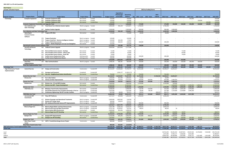| <b>New Projects</b><br><b>Excludes Unfunded Projects</b> |                                                                                         |             |                                                                                   |                            |                         |                         |                            |                                 |                      | 2022 by Funding Source   |                |                          |                      |                      |                          |                     |                          |                         |
|----------------------------------------------------------|-----------------------------------------------------------------------------------------|-------------|-----------------------------------------------------------------------------------|----------------------------|-------------------------|-------------------------|----------------------------|---------------------------------|----------------------|--------------------------|----------------|--------------------------|----------------------|----------------------|--------------------------|---------------------|--------------------------|-------------------------|
|                                                          |                                                                                         |             |                                                                                   |                            |                         |                         |                            |                                 |                      |                          |                |                          |                      |                      |                          |                     |                          |                         |
|                                                          |                                                                                         |             |                                                                                   |                            |                         |                         | Expenditure<br>PTD through | Remaining                       |                      |                          | $2022 -$       |                          |                      |                      |                          |                     |                          |                         |
| <b>Program Category</b>                                  | <b>Program Name</b>                                                                     | $ID/$ Req # | <b>Project Name</b>                                                               | <b>Project Status</b>      | <b>Financial Status</b> | <b>Budget Control</b>   | 12/31/2020                 | <b>Balance</b><br>Otv           | 2022 - Local         | 2022 - State             | Federal        | 2022 Total               | 2023 Total           | 2024 Total           | 2025 Total               | <b>2026 Total</b>   | 2027 Total               | 2022-2027               |
| Technology                                               | <b>Computer Equipment</b>                                                               | 802         | <b>Computer Equipment-2025</b>                                                    | Not started                | Funded                  | 150,000                 |                            | 150,000                         |                      |                          |                |                          |                      |                      | 150,000                  |                     |                          | 150,000                 |
|                                                          |                                                                                         | 820         | <b>Computer Equipment-2026</b>                                                    | Not started                | Funded                  | 120,000                 |                            | 120,000                         |                      |                          |                | $\sim$                   |                      | $\sim$               | $\sim$                   | 120,000             | $\overline{\phantom{a}}$ | 120,000                 |
|                                                          |                                                                                         |             | 906 Computer Equipment-2027                                                       | Not started                | Funded-New              | 120,000                 | $\sim$                     | 120,000                         |                      | $\sim$                   |                |                          |                      |                      | $\sim$                   |                     | 120,000                  | 120,000                 |
|                                                          | <b>Computer Equipment Preservation and Upgrades Total</b><br><b>Fare Collection and</b> | 431         | <b>Fixed Route Fare Collection System Update</b>                                  | Work in progress Funded    |                         | 1,040,000<br>5,890,000  | $\sim$<br>456,129          | 1,040,000<br>5,433,871          | 175,000<br>1,740,350 | $\sim$                   |                | 175,000<br>1,740,350     | 150,000              | 150,000              | 150,000                  | 120,000             | 120,000                  | 865,000<br>1,740,350    |
|                                                          | <b>Sales Technology</b>                                                                 |             |                                                                                   |                            |                         |                         |                            |                                 |                      |                          |                |                          |                      |                      |                          |                     |                          |                         |
|                                                          |                                                                                         |             | 907 Genfare Farebox Upgrade                                                       | Not started                | Funded                  | 2,500,000               |                            | 2,500,000                       | 500,000              |                          |                | 500,000                  | 2,000,000            |                      |                          |                     |                          | 2,500,000               |
|                                                          | <b>Fare Collection and Sales Technology Total</b>                                       |             |                                                                                   |                            |                         | 8,390,000               | 456,129                    | 7,933,871                       | 2,240,350            | $\sim$                   | $\sim$         | 2,240,350                | 2,000,000            | $\sim$               | $\sim$                   | $\sim$              |                          | 4,240,350               |
|                                                          | Operating &                                                                             |             | 577 Trapeze OPS-Web                                                               | Not started                | Funded                  | 175,000                 |                            | 175,000                         | 28,000               |                          |                | 28,000                   |                      |                      |                          |                     |                          | 28,000                  |
|                                                          | <b>Customer Service</b><br>Software                                                     |             |                                                                                   |                            |                         |                         |                            |                                 |                      |                          |                |                          |                      |                      |                          |                     |                          |                         |
|                                                          |                                                                                         | 578         | <b>Trapeze ParaCutter</b>                                                         | Work in progress Funded    |                         | 120,000                 |                            | 120,000                         |                      |                          |                |                          |                      |                      |                          |                     |                          |                         |
|                                                          |                                                                                         | 579         | <b>Trapeze ViewPoint - Business Intelligence Solution</b>                         | Work in progress Funded    |                         | 220,000                 | 162,346                    | 57,654                          |                      |                          |                |                          |                      |                      |                          |                     |                          |                         |
|                                                          |                                                                                         | 797         | <b>Trapeze PASS Enhancements</b>                                                  | Work in progress Funded    |                         | 525,000                 | 366,944                    | 158,056                         | 100,000              |                          |                | 100,000                  |                      |                      |                          |                     |                          | 100,000                 |
|                                                          |                                                                                         | 825         | Trapeze - Mobile Mapping & Turn-by-Turn Navigation                                | Not started                | Funded                  | 131,024                 | $\sim$                     | 131,024                         |                      |                          |                |                          |                      |                      |                          |                     |                          |                         |
|                                                          | <b>Operating &amp; Customer Service Software Total</b>                                  |             |                                                                                   |                            |                         | 1,171,024               | 529,289                    | 641,735                         | 128,000              | $\overline{\phantom{a}}$ |                | 128,000                  |                      | $\sim$               |                          |                     |                          | 128,000                 |
|                                                          | <b>Security and Access</b><br><b>Technology</b>                                         | 468         | <b>OnBoard Camera Upgrade</b>                                                     | Work in progress Funded    |                         | 4,000,000               | 1,822,654                  | 2,177,346                       |                      |                          |                |                          |                      |                      |                          |                     |                          |                         |
|                                                          |                                                                                         | 608         | Park and Ride Camera System - Hastings                                            | Not started                | Funded                  | 71,500                  |                            | 71,500                          |                      |                          |                |                          |                      | 71,500               |                          |                     |                          | 71,500                  |
|                                                          |                                                                                         | 609         | Park and Ride Camera System - Liberty Lake                                        | Not started                | Funded                  | 85,900                  |                            | 85,900                          |                      |                          |                |                          |                      | 85,900               |                          |                     |                          | 85,900                  |
|                                                          |                                                                                         | 610         | Park and Ride Camera System - South Hill                                          | Not started                | Funded                  | 74,600                  | $\sim$                     | 74,600                          |                      |                          |                |                          |                      | 74,600               |                          |                     |                          | 74,600                  |
|                                                          |                                                                                         | 832         | <b>Facility Camera Replacement-Plaza</b>                                          | Getting quotes             | Funded                  | 100,000                 |                            | 100,000                         | 100,000              |                          |                | 100,000                  |                      |                      |                          |                     |                          | 100,000                 |
|                                                          | <b>Security and Access Technology Total</b>                                             | 833         | <b>Facility Camera Replacement-Boone</b>                                          | Getting quotes             | Funded                  | 100,000<br>4,432,000    | 1,822,654                  | 100,000<br>2,609,346            | 100,000              | $\sim$                   |                | 100,000                  | $\sim$               | 232,000              | $\sim$                   | $\sim$              | $\overline{\phantom{a}}$ | 332,000                 |
|                                                          | <b>Smart Bus</b>                                                                        | 336         | <b>Fiber Communications</b>                                                       | Work in progress Funded    |                         | 1,048,181               | 448,181                    | 600,000                         | 100,000              |                          |                | 100,000                  | 100,000              | 100,000              | 100,000                  | 100,000             |                          | 500,000                 |
|                                                          | Implementation                                                                          |             |                                                                                   |                            |                         |                         |                            |                                 |                      |                          |                |                          |                      |                      |                          |                     |                          |                         |
|                                                          | <b>Smart Bus Implementation Total</b>                                                   |             |                                                                                   |                            |                         | 1,048,181               | 448,181                    | 600,000                         | 100,000              | $\sim$                   |                | 100,000                  | 100,000              | 100,000              | 100,000                  | 100,000             |                          | 500,000                 |
| <b>Technology Total</b>                                  |                                                                                         |             |                                                                                   |                            |                         | 18,207,205              | 3,456,243                  | 14,750,962                      | 3,463,350            | $\sim$                   |                | 3,463,350                | 2,976,000            | 482,000              | 250,000                  | 220,000             | 120,000                  | 7,511,350               |
| <b>High Performance Transit</b>                          | <b>Central City Line</b>                                                                | 347         | <b>Design and Construction</b>                                                    | Construction               | Funded-MF               | 85,410,407              | 12,640,660                 | 72,769,747                      | 12,041,485           |                          | 17,256,532     | 29,298,017               | 14,655,017           |                      |                          |                     |                          | 43,953,034              |
| Implementation                                           |                                                                                         | 853         | Gonzaga Land Easement                                                             | Completed                  | Funded-MF               |                         | 1,592,177                  | (1,592,177)                     |                      | $\overline{\phantom{a}}$ | $\sim$         |                          |                      |                      |                          |                     |                          |                         |
|                                                          |                                                                                         |             | 893 City Line - Neighborhood Station Identification                               | Not started                | Funded-New              | 750,000                 |                            | 750,000                         | 750,000              |                          |                | 750,000                  |                      |                      |                          |                     |                          | 750,000                 |
|                                                          | <b>Central City Line Total</b>                                                          |             |                                                                                   |                            |                         | 86,160,407              | 14,232,837                 | 71,927,570                      | 12,791,485           |                          | 17,256,532     | 30,048,017               | 14,655,017           | $\sim$               |                          |                     |                          | 44,703,034              |
|                                                          | <b>Cheney Line</b>                                                                      |             | 465 Four Lakes Station                                                            | Work in progress Funded-MF |                         | 1,440,000               | 355,599                    | 1,084,401                       | 50,000               |                          |                | 50,000                   |                      |                      |                          |                     |                          | 50,000                  |
|                                                          |                                                                                         |             | 764 Cheney Corridor Improvements                                                  | Work in progress Funded-MF |                         | 4,490,000               | 174,026                    | 4,315,974                       | 260,000              | 350,000                  |                | 610,000                  | 2,495,974            |                      |                          |                     |                          | 3,105,974               |
|                                                          | <b>Cheney Line Total</b>                                                                |             |                                                                                   |                            |                         | 5,930,000               | 529,625                    | 5,400,375                       | 310,000              | 350,000                  | $\sim$ $ \sim$ | 660,000                  | 2,495,974            | $\sim$               | $\overline{\phantom{a}}$ | $\sim$              |                          | 3,155,974               |
|                                                          | <b>Division Line</b>                                                                    | 830         | Division Line - PE and NEPA Scoping<br>895 Division Line BRT: Project Development | Not started<br>Not started | Funded<br>Funded-New    | 2,000,000<br>12,000,000 | $\sim$<br>$\sim$           | 2,000,000<br>12,000,000         | 1,250,000            | $\sim$ $-$<br>. .        |                | 1,250,000                | 700,000<br>3,000,000 | $\sim$<br>4,000,000  | 4,000,000                | $\sim$<br>1,000,000 |                          | 1,950,000<br>12,000,000 |
|                                                          | <b>Division Line Total</b>                                                              |             |                                                                                   |                            |                         | 14,000,000              |                            | 14,000,000                      | 1,250,000            | $\sim$                   |                | 1,250,000                | 3,700,000            | 4,000,000            | 4,000,000                | 1,000,000           |                          | 13,950,000              |
|                                                          | I-90/Valley Line                                                                        | 469         | <b>Mirabeau Transit Center Improvements</b>                                       | Not started                | Funded-MF               | 8,488,000               |                            | 8,488,000                       | 118,700              | 135,900                  |                | 254,600                  | 1,867,400            | 3,395,200            | 2,970,800                |                     |                          | 8,488,000               |
|                                                          |                                                                                         | 477         | Park & Ride Expansion East of Sullivan (formerly LL Park an                       | Not started                | Funded-MF               | 5,562,000               |                            | 5,562,000                       | 78,300               | 89,100                   |                | 167,400                  | 1,223,600            | 2,224,800            | 1,946,200                |                     |                          | 5,562,000               |
|                                                          |                                                                                         |             | 545 Preliminary Engineering I-90 HPT Corridor Facilities                          | Work in progress Funded-MF |                         | 812,500                 | 50,929                     | 761,571                         | 52,314               |                          | 209,257        | 261,571                  |                      |                      |                          |                     |                          | 261,571                 |
|                                                          | I-90/Valley Line Total                                                                  |             | 470 Plaza HPT Platforms                                                           |                            | Funded-MF               | 14,862,500              | 50,929                     | 14,811,571                      | 249,314              | 225,000                  | 209,257        | 683,571                  | 3,091,000            | 5,620,000            | 4,917,000                |                     |                          | 14,311,571<br>1,292,259 |
|                                                          | <b>Incremental HPT</b><br>Investments                                                   |             |                                                                                   | Construction               |                         | 2,317,217               | 924,958                    | 1,392,259                       | 1,292,259            |                          |                | 1,292,259                |                      |                      |                          |                     |                          |                         |
|                                                          |                                                                                         |             | 472 Division Passenger and Operational Treatments                                 | Work in progress Funded-MF |                         | 2,000,000               | 1,865,942                  | 134,058                         |                      |                          |                |                          |                      |                      |                          |                     |                          |                         |
|                                                          |                                                                                         | 478         | <b>Division HPT Design Study</b>                                                  | Work in progress Funded    |                         | 500,000                 | 126,873                    | 373,127                         |                      |                          | $\sim$         |                          |                      |                      |                          |                     |                          |                         |
|                                                          |                                                                                         |             | MF: Eastbound Riverside Avenue HPT Improvements                                   | Work in progress Funded-MF |                         | 600,000                 |                            | 600,000                         | 500,000              |                          |                | 500,000                  |                      |                      |                          |                     |                          | 500,000                 |
|                                                          | Incremental HPT Investments Total<br><b>Monroe-Regal Line</b>                           |             | <b>Monroe-Regal Shelter and Stop Enhancements</b>                                 | Work in progress Funded-MF |                         | 5,417,217               | 2,917,773                  | 2,499,445                       | 1,792,259            | $\sim$                   | $\sim$         | 1,792,259                | $\sim$               |                      |                          |                     |                          | 1,792,259<br>3,044,574  |
|                                                          |                                                                                         | 479<br>542  | <b>Moran Prairie Park and Ride Construction</b>                                   | Work in progress Funded-MF |                         | 5,810,798<br>4,752,718  | 2,266,224<br>4,226,957     | 3,544,574<br>525,761            | 3,044,574<br>98,925  |                          |                | 3,044,574<br>98,925      | 19                   |                      |                          |                     |                          | 98,944                  |
|                                                          |                                                                                         |             | 839 Moran Station BEB Infrastructure                                              | Construction               | Funded                  | 2,000,000               | 301,456                    | 1,698,544                       |                      | $\sim$                   | $\sim$         | $\sim$ $-$               | $\sim$               | $\sim$               |                          |                     | $\overline{\phantom{a}}$ |                         |
|                                                          |                                                                                         |             | 897 Monroe-Regal Line HPT Branding                                                | Not started                | Funded-New              | 688,937                 |                            | 688,937                         | 50,000               |                          |                | 50,000                   | 618,000              | 20,937               |                          |                     |                          | 688,937                 |
|                                                          | <b>Monroe-Regal Line Total</b>                                                          |             |                                                                                   |                            |                         | 13,252,453              | 6,794,638                  | 6,457,816                       | 3,193,499            | $\sim$                   |                | 3,193,499                | 618,019              | 20,937               | $\sim$                   | $\sim$              |                          | 3,832,455               |
|                                                          | <b>Sprague Line</b>                                                                     |             | 540 Sprague HPT Improvements                                                      | Work in progress Funded-MF |                         | 6,556,000               | 605,293                    | 5,950,707                       | 501,800              | 498,200                  |                | 1,000,000                | 4,050,707            | 500,000              | $\sim$                   | $\sim$              |                          | 5,550,707               |
|                                                          | <b>Sprague Line Total</b>                                                               |             | 901 Sprague Line HPT Branding                                                     | Not started                | Funded-New              | 1,207,607<br>7,763,607  | $\sim 100$<br>605,293      | 1,207,607<br>7,158,314          | 501,800              | 498,200                  | $\sim$ $-$     | 1,000,000                | 51,500<br>4,102,207  | 530,000<br>1,030,000 | 545,000<br>545,000       | 81,107<br>81,107    |                          | 1,207,607<br>6,758,314  |
|                                                          | <b>West Plains Transit</b>                                                              |             | 742 WPTC - Transit/Interchange Access Project                                     | Construction               | Funded                  | 800,000                 | 933,907                    | (133,907)                       |                      |                          |                |                          |                      |                      |                          |                     |                          |                         |
|                                                          | Center                                                                                  |             |                                                                                   |                            |                         |                         |                            |                                 |                      |                          |                |                          |                      |                      |                          |                     |                          |                         |
|                                                          | <b>West Plains Transit Center Total</b>                                                 |             |                                                                                   |                            |                         | 800,000                 | 933,907                    | (133, 907)                      | $\sim$               |                          | $\sim$         | $\overline{\phantom{a}}$ |                      | $\sim$               | $\sim$                   | $\sim$              | $\overline{\phantom{a}}$ | $\sim$                  |
| <b>High Performance Transit Implementation Total</b>     |                                                                                         |             |                                                                                   |                            |                         | 148,186,184             | 26,065,000                 | 122,121,184                     | 20,088,357           | 1,073,200                | 17,465,789     | 38,627,346               | 28,662,217           | 10,670,937           | 9,462,000                | 1,081,107           |                          | 88,503,607              |
| <b>Grand Total</b>                                       |                                                                                         |             |                                                                                   |                            |                         | 318.608.962             | 34,582,109                 | 284,026,853<br>362 <sup>1</sup> | 46,761,654           | 1,073,200                | 19,855,432     | 67,690,286               | 68,575,223           | 25,230,051           | 36,157,198               | 14,755,002          | 8,041,584                | 220,449,344             |
| Local                                                    |                                                                                         |             |                                                                                   |                            |                         |                         |                            |                                 |                      |                          |                | 46,761,654               | 39,441,010           | 20,407,851           | 29,367,026               | 13,734,002          | 7,010,584                | 156,722,128             |
| State                                                    |                                                                                         |             |                                                                                   |                            |                         |                         |                            |                                 |                      |                          |                | 1,073,200                | 8,704,117            | 3,184,600            | 2,625,000                |                     |                          | 15,586,917              |
| Federal                                                  |                                                                                         |             |                                                                                   |                            |                         |                         |                            |                                 |                      |                          |                | 19,855,432               | 20,430,096           | 1,637,600            | 4,165,172                | 1,021,000           | 1,031,000                | 48,140,300              |
| Total                                                    |                                                                                         |             |                                                                                   |                            |                         |                         |                            |                                 |                      |                          |                | 67,690,286               | 68,575,223           | 25,230,051           | 36,157,198               | 14,755,002          | 8,041,584                | 220,449,344             |